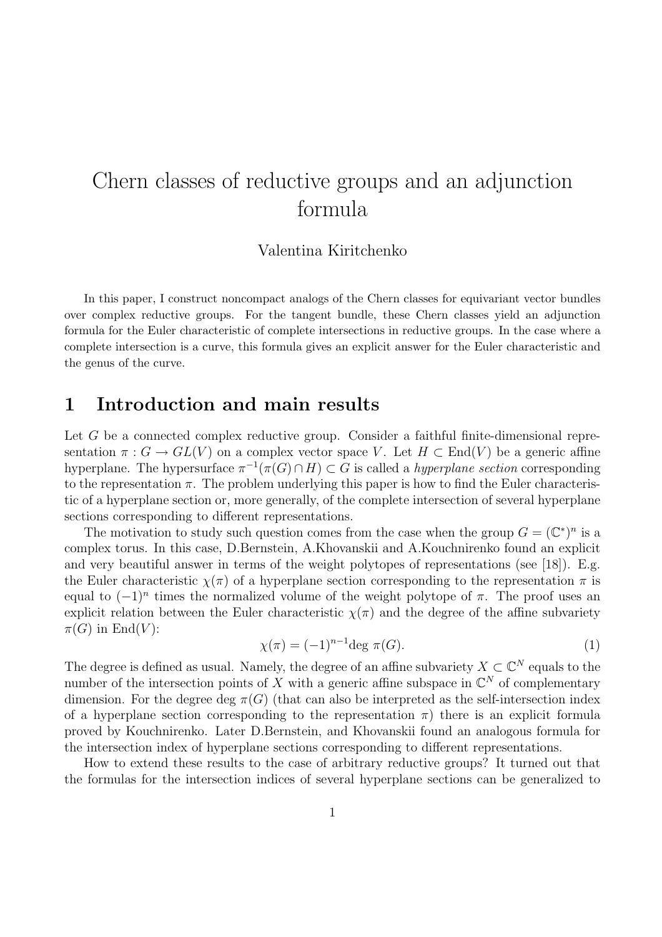# Chern classes of reductive groups and an adjunction formula

#### Valentina Kiritchenko

In this paper, I construct noncompact analogs of the Chern classes for equivariant vector bundles over complex reductive groups. For the tangent bundle, these Chern classes yield an adjunction formula for the Euler characteristic of complete intersections in reductive groups. In the case where a complete intersection is a curve, this formula gives an explicit answer for the Euler characteristic and the genus of the curve.

### 1 Introduction and main results

Let  $G$  be a connected complex reductive group. Consider a faithful finite-dimensional representation  $\pi: G \to GL(V)$  on a complex vector space V. Let  $H \subset End(V)$  be a generic affine hyperplane. The hypersurface  $\pi^{-1}(\pi(G) \cap H) \subset G$  is called a *hyperplane section* corresponding to the representation  $\pi$ . The problem underlying this paper is how to find the Euler characteristic of a hyperplane section or, more generally, of the complete intersection of several hyperplane sections corresponding to different representations.

The motivation to study such question comes from the case when the group  $G = (\mathbb{C}^*)^n$  is a complex torus. In this case, D.Bernstein, A.Khovanskii and A.Kouchnirenko found an explicit and very beautiful answer in terms of the weight polytopes of representations (see [18]). E.g. the Euler characteristic  $\chi(\pi)$  of a hyperplane section corresponding to the representation  $\pi$  is equal to  $(-1)^n$  times the normalized volume of the weight polytope of  $\pi$ . The proof uses an explicit relation between the Euler characteristic  $\chi(\pi)$  and the degree of the affine subvariety  $\pi(G)$  in End(V):

$$
\chi(\pi) = (-1)^{n-1} \deg \pi(G). \tag{1}
$$

The degree is defined as usual. Namely, the degree of an affine subvariety  $X \subset \mathbb{C}^N$  equals to the number of the intersection points of X with a generic affine subspace in  $\mathbb{C}^N$  of complementary dimension. For the degree deg  $\pi(G)$  (that can also be interpreted as the self-intersection index of a hyperplane section corresponding to the representation  $\pi$ ) there is an explicit formula proved by Kouchnirenko. Later D.Bernstein, and Khovanskii found an analogous formula for the intersection index of hyperplane sections corresponding to different representations.

How to extend these results to the case of arbitrary reductive groups? It turned out that the formulas for the intersection indices of several hyperplane sections can be generalized to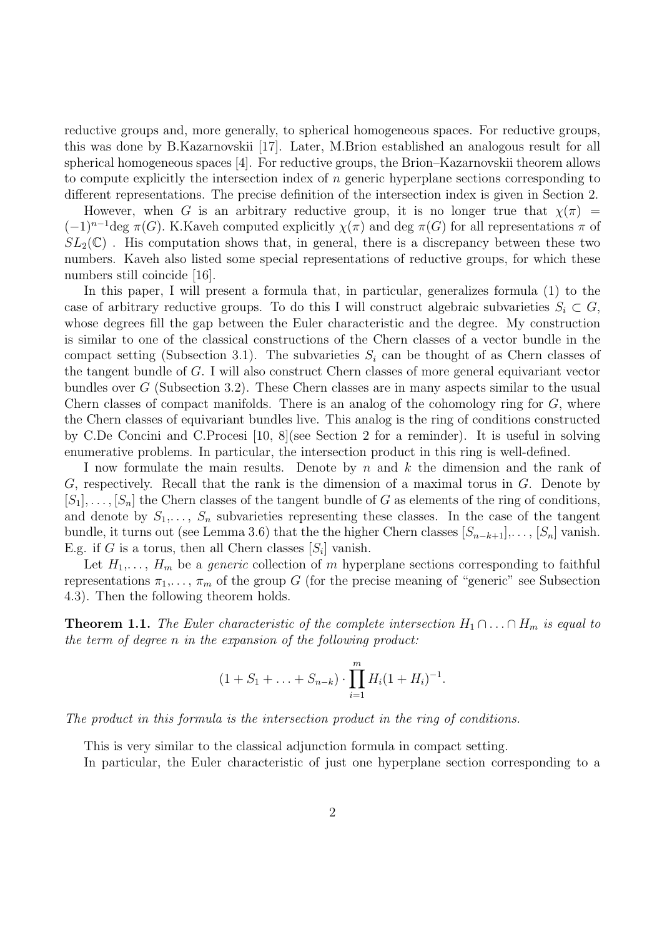reductive groups and, more generally, to spherical homogeneous spaces. For reductive groups, this was done by B.Kazarnovskii [17]. Later, M.Brion established an analogous result for all spherical homogeneous spaces [4]. For reductive groups, the Brion–Kazarnovskii theorem allows to compute explicitly the intersection index of  $n$  generic hyperplane sections corresponding to different representations. The precise definition of the intersection index is given in Section 2.

However, when G is an arbitrary reductive group, it is no longer true that  $\chi(\pi)$  =  $(-1)^{n-1}\deg \pi(G)$ . K.Kaveh computed explicitly  $\chi(\pi)$  and deg  $\pi(G)$  for all representations  $\pi$  of  $SL_2(\mathbb{C})$ . His computation shows that, in general, there is a discrepancy between these two numbers. Kaveh also listed some special representations of reductive groups, for which these numbers still coincide [16].

In this paper, I will present a formula that, in particular, generalizes formula (1) to the case of arbitrary reductive groups. To do this I will construct algebraic subvarieties  $S_i \subset G$ , whose degrees fill the gap between the Euler characteristic and the degree. My construction is similar to one of the classical constructions of the Chern classes of a vector bundle in the compact setting (Subsection 3.1). The subvarieties  $S_i$  can be thought of as Chern classes of the tangent bundle of G. I will also construct Chern classes of more general equivariant vector bundles over G (Subsection 3.2). These Chern classes are in many aspects similar to the usual Chern classes of compact manifolds. There is an analog of the cohomology ring for G, where the Chern classes of equivariant bundles live. This analog is the ring of conditions constructed by C.De Concini and C.Procesi [10, 8](see Section 2 for a reminder). It is useful in solving enumerative problems. In particular, the intersection product in this ring is well-defined.

I now formulate the main results. Denote by  $n$  and  $k$  the dimension and the rank of  $G$ , respectively. Recall that the rank is the dimension of a maximal torus in  $G$ . Denote by  $[S_1], \ldots, [S_n]$  the Chern classes of the tangent bundle of G as elements of the ring of conditions, and denote by  $S_1, \ldots, S_n$  subvarieties representing these classes. In the case of the tangent bundle, it turns out (see Lemma 3.6) that the the higher Chern classes  $[S_{n-k+1}], \ldots, [S_n]$  vanish. E.g. if G is a torus, then all Chern classes  $[S_i]$  vanish.

Let  $H_1, \ldots, H_m$  be a *generic* collection of m hyperplane sections corresponding to faithful representations  $\pi_1, \ldots, \pi_m$  of the group G (for the precise meaning of "generic" see Subsection 4.3). Then the following theorem holds.

**Theorem 1.1.** The Euler characteristic of the complete intersection  $H_1 \cap \ldots \cap H_m$  is equal to the term of degree n in the expansion of the following product:

$$
(1+S_1+\ldots+S_{n-k})\cdot \prod_{i=1}^m H_i(1+H_i)^{-1}.
$$

The product in this formula is the intersection product in the ring of conditions.

This is very similar to the classical adjunction formula in compact setting.

In particular, the Euler characteristic of just one hyperplane section corresponding to a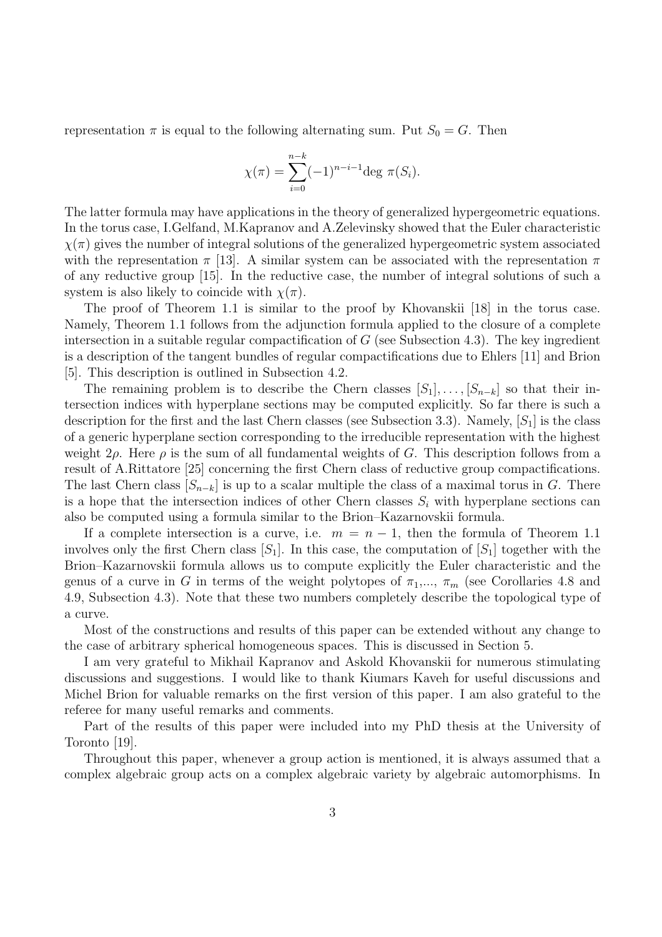representation  $\pi$  is equal to the following alternating sum. Put  $S_0 = G$ . Then

$$
\chi(\pi) = \sum_{i=0}^{n-k} (-1)^{n-i-1} \deg \pi(S_i).
$$

The latter formula may have applications in the theory of generalized hypergeometric equations. In the torus case, I.Gelfand, M.Kapranov and A.Zelevinsky showed that the Euler characteristic  $\chi(\pi)$  gives the number of integral solutions of the generalized hypergeometric system associated with the representation  $\pi$  [13]. A similar system can be associated with the representation  $\pi$ of any reductive group [15]. In the reductive case, the number of integral solutions of such a system is also likely to coincide with  $\chi(\pi)$ .

The proof of Theorem 1.1 is similar to the proof by Khovanskii [18] in the torus case. Namely, Theorem 1.1 follows from the adjunction formula applied to the closure of a complete intersection in a suitable regular compactification of  $G$  (see Subsection 4.3). The key ingredient is a description of the tangent bundles of regular compactifications due to Ehlers [11] and Brion [5]. This description is outlined in Subsection 4.2.

The remaining problem is to describe the Chern classes  $[S_1], \ldots, [S_{n-k}]$  so that their intersection indices with hyperplane sections may be computed explicitly. So far there is such a description for the first and the last Chern classes (see Subsection 3.3). Namely,  $[S_1]$  is the class of a generic hyperplane section corresponding to the irreducible representation with the highest weight  $2\rho$ . Here  $\rho$  is the sum of all fundamental weights of G. This description follows from a result of A.Rittatore [25] concerning the first Chern class of reductive group compactifications. The last Chern class  $[S_{n-k}]$  is up to a scalar multiple the class of a maximal torus in G. There is a hope that the intersection indices of other Chern classes  $S_i$  with hyperplane sections can also be computed using a formula similar to the Brion–Kazarnovskii formula.

If a complete intersection is a curve, i.e.  $m = n - 1$ , then the formula of Theorem 1.1 involves only the first Chern class  $[S_1]$ . In this case, the computation of  $[S_1]$  together with the Brion–Kazarnovskii formula allows us to compute explicitly the Euler characteristic and the genus of a curve in G in terms of the weight polytopes of  $\pi_1, ..., \pi_m$  (see Corollaries 4.8 and 4.9, Subsection 4.3). Note that these two numbers completely describe the topological type of a curve.

Most of the constructions and results of this paper can be extended without any change to the case of arbitrary spherical homogeneous spaces. This is discussed in Section 5.

I am very grateful to Mikhail Kapranov and Askold Khovanskii for numerous stimulating discussions and suggestions. I would like to thank Kiumars Kaveh for useful discussions and Michel Brion for valuable remarks on the first version of this paper. I am also grateful to the referee for many useful remarks and comments.

Part of the results of this paper were included into my PhD thesis at the University of Toronto [19].

Throughout this paper, whenever a group action is mentioned, it is always assumed that a complex algebraic group acts on a complex algebraic variety by algebraic automorphisms. In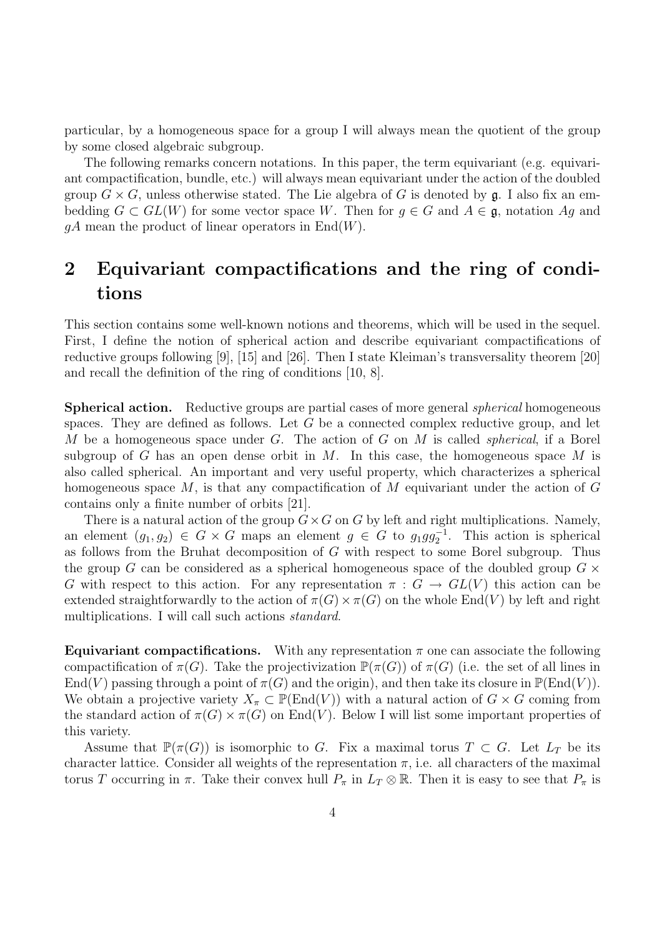particular, by a homogeneous space for a group I will always mean the quotient of the group by some closed algebraic subgroup.

The following remarks concern notations. In this paper, the term equivariant (e.g. equivariant compactification, bundle, etc.) will always mean equivariant under the action of the doubled group  $G \times G$ , unless otherwise stated. The Lie algebra of G is denoted by  $\mathfrak{g}$ . I also fix an embedding  $G \subset GL(W)$  for some vector space W. Then for  $g \in G$  and  $A \in \mathfrak{g}$ , notation Ag and  $qA$  mean the product of linear operators in  $End(W)$ .

## 2 Equivariant compactifications and the ring of conditions

This section contains some well-known notions and theorems, which will be used in the sequel. First, I define the notion of spherical action and describe equivariant compactifications of reductive groups following [9], [15] and [26]. Then I state Kleiman's transversality theorem [20] and recall the definition of the ring of conditions [10, 8].

**Spherical action.** Reductive groups are partial cases of more general *spherical* homogeneous spaces. They are defined as follows. Let  $G$  be a connected complex reductive group, and let M be a homogeneous space under G. The action of G on M is called *spherical*, if a Borel subgroup of G has an open dense orbit in M. In this case, the homogeneous space M is also called spherical. An important and very useful property, which characterizes a spherical homogeneous space  $M$ , is that any compactification of  $M$  equivariant under the action of  $G$ contains only a finite number of orbits [21].

There is a natural action of the group  $G \times G$  on G by left and right multiplications. Namely, an element  $(g_1, g_2) \in G \times G$  maps an element  $g \in G$  to  $g_1gg_2^{-1}$ . This action is spherical as follows from the Bruhat decomposition of G with respect to some Borel subgroup. Thus the group G can be considered as a spherical homogeneous space of the doubled group  $G \times$ G with respect to this action. For any representation  $\pi : G \to GL(V)$  this action can be extended straightforwardly to the action of  $\pi(G) \times \pi(G)$  on the whole End(V) by left and right multiplications. I will call such actions *standard*.

**Equivariant compactifications.** With any representation  $\pi$  one can associate the following compactification of  $\pi(G)$ . Take the projectivization  $\mathbb{P}(\pi(G))$  of  $\pi(G)$  (i.e. the set of all lines in  $\text{End}(V)$  passing through a point of  $\pi(G)$  and the origin), and then take its closure in  $\mathbb{P}(\text{End}(V))$ . We obtain a projective variety  $X_\pi \subset \mathbb{P}(\text{End}(V))$  with a natural action of  $G \times G$  coming from the standard action of  $\pi(G) \times \pi(G)$  on End(V). Below I will list some important properties of this variety.

Assume that  $\mathbb{P}(\pi(G))$  is isomorphic to G. Fix a maximal torus  $T \subset G$ . Let  $L_T$  be its character lattice. Consider all weights of the representation  $\pi$ , i.e. all characters of the maximal torus T occurring in  $\pi$ . Take their convex hull  $P_{\pi}$  in  $L_T \otimes \mathbb{R}$ . Then it is easy to see that  $P_{\pi}$  is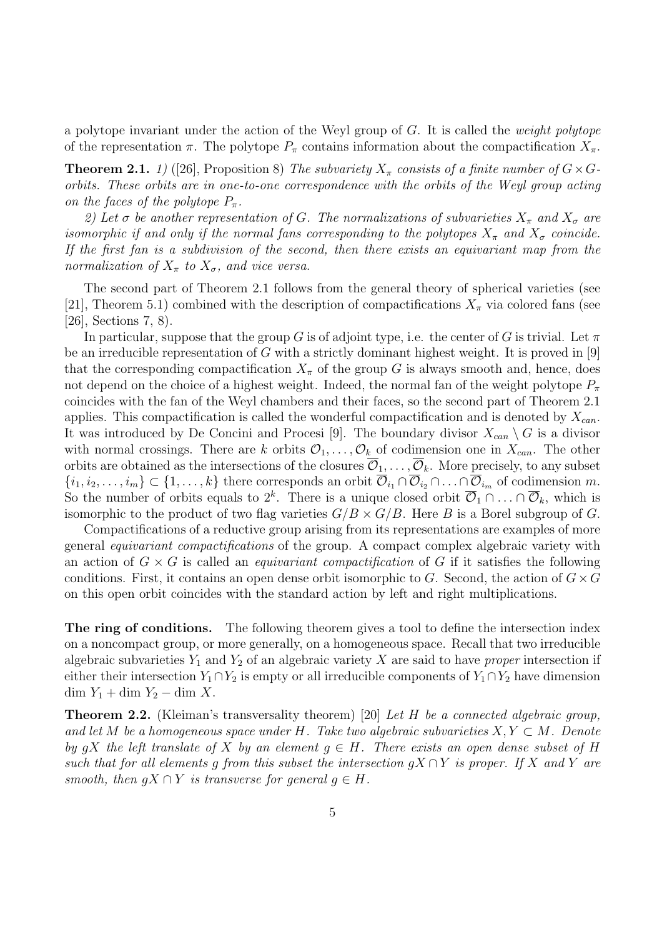a polytope invariant under the action of the Weyl group of  $G$ . It is called the *weight polytope* of the representation  $\pi$ . The polytope  $P_{\pi}$  contains information about the compactification  $X_{\pi}$ .

**Theorem 2.1.** 1) ([26], Proposition 8) The subvariety  $X_{\pi}$  consists of a finite number of  $G \times G$ orbits. These orbits are in one-to-one correspondence with the orbits of the Weyl group acting on the faces of the polytope  $P_{\pi}$ .

2) Let  $\sigma$  be another representation of G. The normalizations of subvarieties  $X_{\pi}$  and  $X_{\sigma}$  are isomorphic if and only if the normal fans corresponding to the polytopes  $X_{\pi}$  and  $X_{\sigma}$  coincide. If the first fan is a subdivision of the second, then there exists an equivariant map from the normalization of  $X_{\pi}$  to  $X_{\sigma}$ , and vice versa.

The second part of Theorem 2.1 follows from the general theory of spherical varieties (see [21], Theorem 5.1) combined with the description of compactifications  $X_{\pi}$  via colored fans (see [26], Sections 7, 8).

In particular, suppose that the group G is of adjoint type, i.e. the center of G is trivial. Let  $\pi$ be an irreducible representation of  $G$  with a strictly dominant highest weight. It is proved in [9] that the corresponding compactification  $X_{\pi}$  of the group G is always smooth and, hence, does not depend on the choice of a highest weight. Indeed, the normal fan of the weight polytope  $P_{\pi}$ coincides with the fan of the Weyl chambers and their faces, so the second part of Theorem 2.1 applies. This compactification is called the wonderful compactification and is denoted by  $X_{can}$ . It was introduced by De Concini and Procesi [9]. The boundary divisor  $X_{can} \setminus G$  is a divisor with normal crossings. There are k orbits  $\mathcal{O}_1, \ldots, \mathcal{O}_k$  of codimension one in  $X_{can}$ . The other orbits are obtained as the intersections of the closures  $\overline{\mathcal{O}}_1,\ldots,\overline{\mathcal{O}}_k$ . More precisely, to any subset  $\{i_1, i_2, \ldots, i_m\} \subset \{1, \ldots, k\}$  there corresponds an orbit  $\overline{\mathcal{O}}_{i_1} \cap \overline{\mathcal{O}}_{i_2} \cap \ldots \cap \overline{\mathcal{O}}_{i_m}$  of codimension m. So the number of orbits equals to  $2^k$ . There is a unique closed orbit  $\overline{\mathcal{O}}_1 \cap \ldots \cap \overline{\mathcal{O}}_k$ , which is isomorphic to the product of two flag varieties  $G/B \times G/B$ . Here B is a Borel subgroup of G.

Compactifications of a reductive group arising from its representations are examples of more general equivariant compactifications of the group. A compact complex algebraic variety with an action of  $G \times G$  is called an *equivariant compactification* of G if it satisfies the following conditions. First, it contains an open dense orbit isomorphic to G. Second, the action of  $G \times G$ on this open orbit coincides with the standard action by left and right multiplications.

The ring of conditions. The following theorem gives a tool to define the intersection index on a noncompact group, or more generally, on a homogeneous space. Recall that two irreducible algebraic subvarieties  $Y_1$  and  $Y_2$  of an algebraic variety X are said to have proper intersection if either their intersection  $Y_1 \cap Y_2$  is empty or all irreducible components of  $Y_1 \cap Y_2$  have dimension dim  $Y_1$  + dim  $Y_2$  – dim X.

**Theorem 2.2.** (Kleiman's transversality theorem) [20] Let H be a connected algebraic group, and let M be a homogeneous space under H. Take two algebraic subvarieties  $X, Y \subset M$ . Denote by qX the left translate of X by an element  $q \in H$ . There exists an open dense subset of H such that for all elements g from this subset the intersection  $gX \cap Y$  is proper. If X and Y are smooth, then  $qX \cap Y$  is transverse for general  $q \in H$ .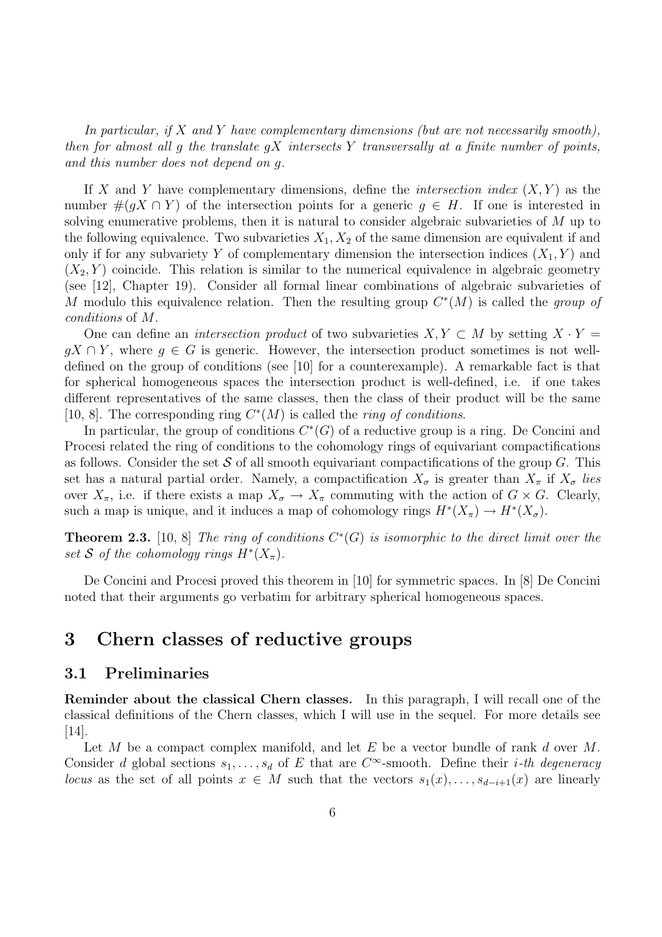In particular, if X and Y have complementary dimensions (but are not necessarily smooth), then for almost all g the translate  $gX$  intersects Y transversally at a finite number of points, and this number does not depend on g.

If X and Y have complementary dimensions, define the *intersection index*  $(X, Y)$  as the number  $\#(qX \cap Y)$  of the intersection points for a generic  $q \in H$ . If one is interested in solving enumerative problems, then it is natural to consider algebraic subvarieties of M up to the following equivalence. Two subvarieties  $X_1, X_2$  of the same dimension are equivalent if and only if for any subvariety Y of complementary dimension the intersection indices  $(X_1, Y)$  and  $(X_2, Y)$  coincide. This relation is similar to the numerical equivalence in algebraic geometry (see [12], Chapter 19). Consider all formal linear combinations of algebraic subvarieties of M modulo this equivalence relation. Then the resulting group  $C^*(M)$  is called the group of conditions of M.

One can define an *intersection product* of two subvarieties  $X, Y \subset M$  by setting  $X \cdot Y =$  $qX \cap Y$ , where  $q \in G$  is generic. However, the intersection product sometimes is not welldefined on the group of conditions (see [10] for a counterexample). A remarkable fact is that for spherical homogeneous spaces the intersection product is well-defined, i.e. if one takes different representatives of the same classes, then the class of their product will be the same [10, 8]. The corresponding ring  $C^*(M)$  is called the *ring of conditions*.

In particular, the group of conditions  $C^*(G)$  of a reductive group is a ring. De Concini and Procesi related the ring of conditions to the cohomology rings of equivariant compactifications as follows. Consider the set  $S$  of all smooth equivariant compactifications of the group  $G$ . This set has a natural partial order. Namely, a compactification  $X_{\sigma}$  is greater than  $X_{\pi}$  if  $X_{\sigma}$  lies over  $X_{\pi}$ , i.e. if there exists a map  $X_{\sigma} \to X_{\pi}$  commuting with the action of  $G \times G$ . Clearly, such a map is unique, and it induces a map of cohomology rings  $H^*(X_{\pi}) \to H^*(X_{\sigma})$ .

**Theorem 2.3.** [10, 8] The ring of conditions  $C^*(G)$  is isomorphic to the direct limit over the set S of the cohomology rings  $H^*(X_\pi)$ .

De Concini and Procesi proved this theorem in [10] for symmetric spaces. In [8] De Concini noted that their arguments go verbatim for arbitrary spherical homogeneous spaces.

## 3 Chern classes of reductive groups

#### 3.1 Preliminaries

Reminder about the classical Chern classes. In this paragraph, I will recall one of the classical definitions of the Chern classes, which I will use in the sequel. For more details see [14].

Let  $M$  be a compact complex manifold, and let  $E$  be a vector bundle of rank  $d$  over  $M$ . Consider d global sections  $s_1, \ldots, s_d$  of E that are  $C^{\infty}$ -smooth. Define their *i*-th degeneracy locus as the set of all points  $x \in M$  such that the vectors  $s_1(x), \ldots, s_{d-i+1}(x)$  are linearly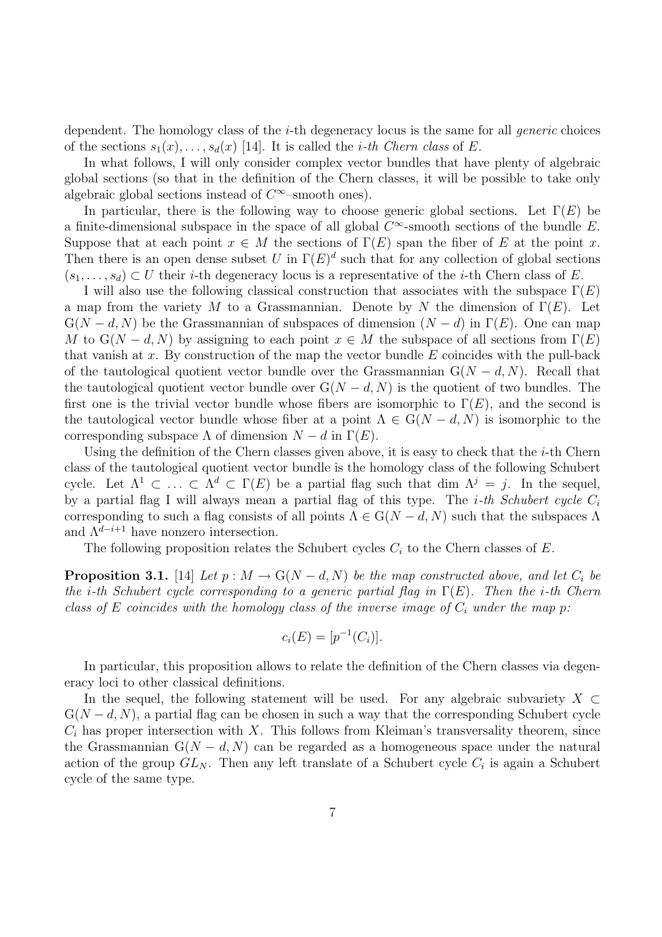dependent. The homology class of the *i*-th degeneracy locus is the same for all *generic* choices of the sections  $s_1(x), \ldots, s_d(x)$  [14]. It is called the *i*-th Chern class of E.

In what follows, I will only consider complex vector bundles that have plenty of algebraic global sections (so that in the definition of the Chern classes, it will be possible to take only algebraic global sections instead of  $C^{\infty}$ -smooth ones).

In particular, there is the following way to choose generic global sections. Let  $\Gamma(E)$  be a finite-dimensional subspace in the space of all global  $C^{\infty}$ -smooth sections of the bundle E. Suppose that at each point  $x \in M$  the sections of  $\Gamma(E)$  span the fiber of E at the point x. Then there is an open dense subset U in  $\Gamma(E)^d$  such that for any collection of global sections  $(s_1, \ldots, s_d) \subset U$  their *i*-th degeneracy locus is a representative of the *i*-th Chern class of E.

I will also use the following classical construction that associates with the subspace  $\Gamma(E)$ a map from the variety M to a Grassmannian. Denote by N the dimension of  $\Gamma(E)$ . Let  $G(N - d, N)$  be the Grassmannian of subspaces of dimension  $(N - d)$  in  $\Gamma(E)$ . One can map M to  $G(N - d, N)$  by assigning to each point  $x \in M$  the subspace of all sections from  $\Gamma(E)$ that vanish at x. By construction of the map the vector bundle  $E$  coincides with the pull-back of the tautological quotient vector bundle over the Grassmannian  $G(N - d, N)$ . Recall that the tautological quotient vector bundle over  $G(N - d, N)$  is the quotient of two bundles. The first one is the trivial vector bundle whose fibers are isomorphic to  $\Gamma(E)$ , and the second is the tautological vector bundle whose fiber at a point  $\Lambda \in G(N-d, N)$  is isomorphic to the corresponding subspace  $\Lambda$  of dimension  $N - d$  in  $\Gamma(E)$ .

Using the definition of the Chern classes given above, it is easy to check that the  $i$ -th Chern class of the tautological quotient vector bundle is the homology class of the following Schubert cycle. Let  $\Lambda^1 \subset \ldots \subset \Lambda^d \subset \Gamma(E)$  be a partial flag such that dim  $\Lambda^j = j$ . In the sequel, by a partial flag I will always mean a partial flag of this type. The *i*-th Schubert cycle  $C_i$ corresponding to such a flag consists of all points  $\Lambda \in G(N-d, N)$  such that the subspaces  $\Lambda$ and  $\Lambda^{d-i+1}$  have nonzero intersection.

The following proposition relates the Schubert cycles  $C_i$  to the Chern classes of E.

**Proposition 3.1.** [14] Let  $p : M \to G(N-d, N)$  be the map constructed above, and let  $C_i$  be the *i*-th Schubert cycle corresponding to a generic partial flag in  $\Gamma(E)$ . Then the *i*-th Chern class of E coincides with the homology class of the inverse image of  $C_i$  under the map p:

$$
c_i(E) = [p^{-1}(C_i)].
$$

In particular, this proposition allows to relate the definition of the Chern classes via degeneracy loci to other classical definitions.

In the sequel, the following statement will be used. For any algebraic subvariety  $X \subset$  $G(N - d, N)$ , a partial flag can be chosen in such a way that the corresponding Schubert cycle  $C_i$  has proper intersection with X. This follows from Kleiman's transversality theorem, since the Grassmannian  $G(N - d, N)$  can be regarded as a homogeneous space under the natural action of the group  $GL_N$ . Then any left translate of a Schubert cycle  $C_i$  is again a Schubert cycle of the same type.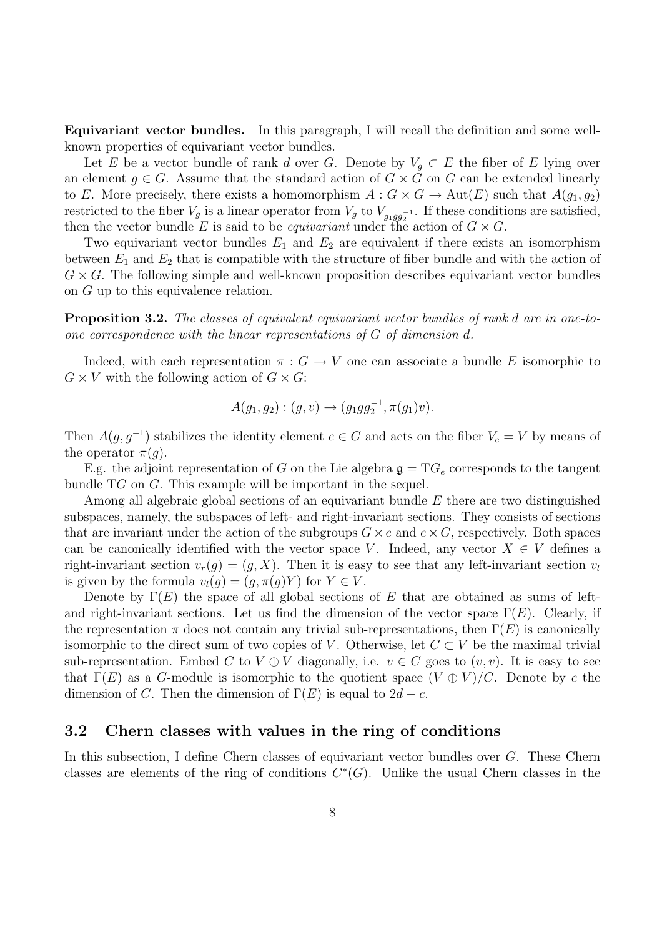Equivariant vector bundles. In this paragraph, I will recall the definition and some wellknown properties of equivariant vector bundles.

Let E be a vector bundle of rank d over G. Denote by  $V_q \subset E$  the fiber of E lying over an element  $g \in G$ . Assume that the standard action of  $G \times G$  on G can be extended linearly to E. More precisely, there exists a homomorphism  $A: G \times G \to \text{Aut}(E)$  such that  $A(q_1, q_2)$ restricted to the fiber  $V_g$  is a linear operator from  $V_g$  to  $V_{g_1g_2g_2^{-1}}$ . If these conditions are satisfied, then the vector bundle E is said to be *equivariant* under the action of  $G \times G$ .

Two equivariant vector bundles  $E_1$  and  $E_2$  are equivalent if there exists an isomorphism between  $E_1$  and  $E_2$  that is compatible with the structure of fiber bundle and with the action of  $G \times G$ . The following simple and well-known proposition describes equivariant vector bundles on G up to this equivalence relation.

**Proposition 3.2.** The classes of equivalent equivariant vector bundles of rank d are in one-toone correspondence with the linear representations of G of dimension d.

Indeed, with each representation  $\pi : G \to V$  one can associate a bundle E isomorphic to  $G \times V$  with the following action of  $G \times G$ :

$$
A(g_1, g_2) : (g, v) \to (g_1 g g_2^{-1}, \pi(g_1)v).
$$

Then  $A(g, g^{-1})$  stabilizes the identity element  $e \in G$  and acts on the fiber  $V_e = V$  by means of the operator  $\pi(q)$ .

E.g. the adjoint representation of G on the Lie algebra  $\mathfrak{g} = T G_e$  corresponds to the tangent bundle TG on G. This example will be important in the sequel.

Among all algebraic global sections of an equivariant bundle E there are two distinguished subspaces, namely, the subspaces of left- and right-invariant sections. They consists of sections that are invariant under the action of the subgroups  $G \times e$  and  $e \times G$ , respectively. Both spaces can be canonically identified with the vector space V. Indeed, any vector  $X \in V$  defines a right-invariant section  $v_r(g) = (g, X)$ . Then it is easy to see that any left-invariant section  $v_l$ is given by the formula  $v_l(g) = (g, \pi(g)Y)$  for  $Y \in V$ .

Denote by  $\Gamma(E)$  the space of all global sections of E that are obtained as sums of leftand right-invariant sections. Let us find the dimension of the vector space  $\Gamma(E)$ . Clearly, if the representation  $\pi$  does not contain any trivial sub-representations, then  $\Gamma(E)$  is canonically isomorphic to the direct sum of two copies of V. Otherwise, let  $C \subset V$  be the maximal trivial sub-representation. Embed C to  $V \oplus V$  diagonally, i.e.  $v \in C$  goes to  $(v, v)$ . It is easy to see that  $\Gamma(E)$  as a G-module is isomorphic to the quotient space  $(V \oplus V)/C$ . Denote by c the dimension of C. Then the dimension of  $\Gamma(E)$  is equal to  $2d - c$ .

#### 3.2 Chern classes with values in the ring of conditions

In this subsection, I define Chern classes of equivariant vector bundles over G. These Chern classes are elements of the ring of conditions  $C^*(G)$ . Unlike the usual Chern classes in the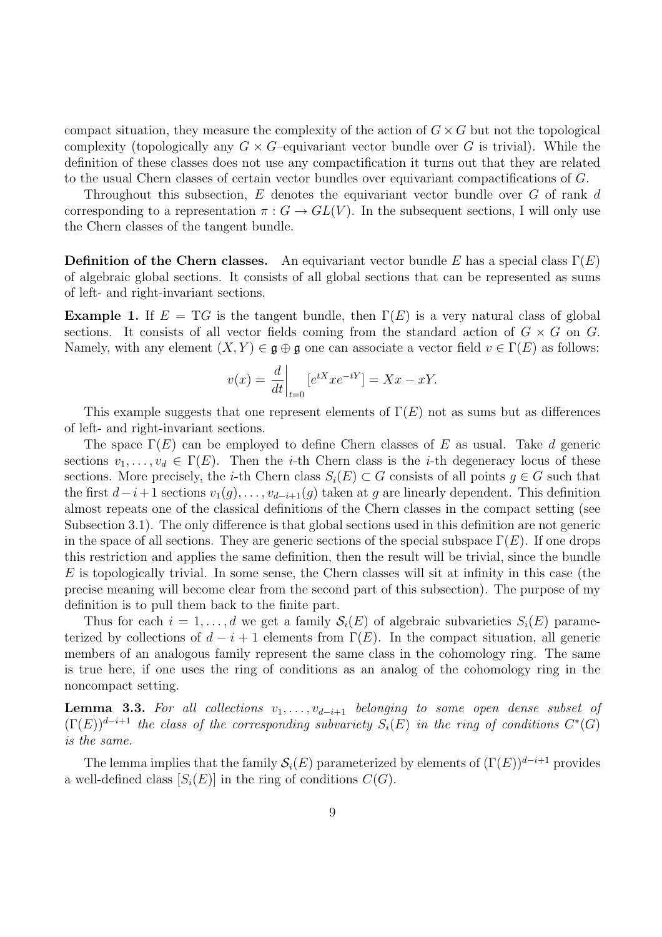compact situation, they measure the complexity of the action of  $G \times G$  but not the topological complexity (topologically any  $G \times G$ -equivariant vector bundle over G is trivial). While the definition of these classes does not use any compactification it turns out that they are related to the usual Chern classes of certain vector bundles over equivariant compactifications of G.

Throughout this subsection,  $E$  denotes the equivariant vector bundle over  $G$  of rank  $d$ corresponding to a representation  $\pi: G \to GL(V)$ . In the subsequent sections, I will only use the Chern classes of the tangent bundle.

**Definition of the Chern classes.** An equivariant vector bundle E has a special class  $\Gamma(E)$ of algebraic global sections. It consists of all global sections that can be represented as sums of left- and right-invariant sections.

**Example 1.** If  $E = T G$  is the tangent bundle, then  $\Gamma(E)$  is a very natural class of global sections. It consists of all vector fields coming from the standard action of  $G \times G$  on G. Namely, with any element  $(X, Y) \in \mathfrak{g} \oplus \mathfrak{g}$  one can associate a vector field  $v \in \Gamma(E)$  as follows:

$$
v(x) = \frac{d}{dt}\bigg|_{t=0} \left[e^{tX} x e^{-tY}\right] = Xx - xY.
$$

This example suggests that one represent elements of  $\Gamma(E)$  not as sums but as differences of left- and right-invariant sections.

The space  $\Gamma(E)$  can be employed to define Chern classes of E as usual. Take d generic sections  $v_1, \ldots, v_d \in \Gamma(E)$ . Then the *i*-th Chern class is the *i*-th degeneracy locus of these sections. More precisely, the *i*-th Chern class  $S_i(E) \subset G$  consists of all points  $g \in G$  such that the first  $d-i+1$  sections  $v_1(g), \ldots, v_{d-i+1}(g)$  taken at g are linearly dependent. This definition almost repeats one of the classical definitions of the Chern classes in the compact setting (see Subsection 3.1). The only difference is that global sections used in this definition are not generic in the space of all sections. They are generic sections of the special subspace  $\Gamma(E)$ . If one drops this restriction and applies the same definition, then the result will be trivial, since the bundle  $E$  is topologically trivial. In some sense, the Chern classes will sit at infinity in this case (the precise meaning will become clear from the second part of this subsection). The purpose of my definition is to pull them back to the finite part.

Thus for each  $i = 1, \ldots, d$  we get a family  $\mathcal{S}_i(E)$  of algebraic subvarieties  $S_i(E)$  parameterized by collections of  $d - i + 1$  elements from  $\Gamma(E)$ . In the compact situation, all generic members of an analogous family represent the same class in the cohomology ring. The same is true here, if one uses the ring of conditions as an analog of the cohomology ring in the noncompact setting.

**Lemma 3.3.** For all collections  $v_1, \ldots, v_{d-i+1}$  belonging to some open dense subset of  $(\Gamma(E))^{d-i+1}$  the class of the corresponding subvariety  $S_i(E)$  in the ring of conditions  $C^*(G)$ is the same.

The lemma implies that the family  $\mathcal{S}_i(E)$  parameterized by elements of  $(\Gamma(E))^{d-i+1}$  provides a well-defined class  $[S_i(E)]$  in the ring of conditions  $C(G)$ .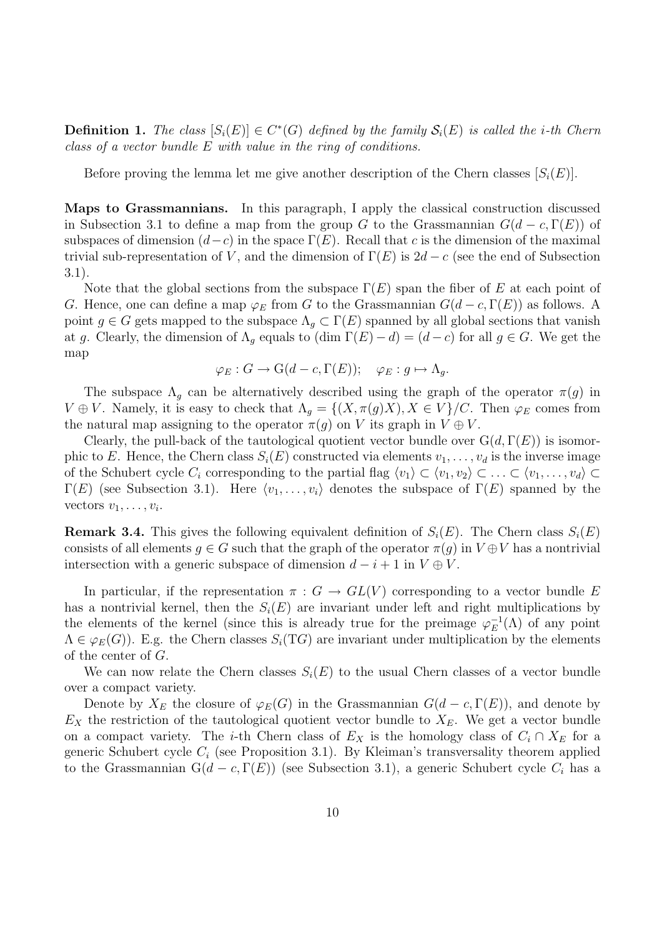**Definition 1.** The class  $[S_i(E)] \in C^*(G)$  defined by the family  $S_i(E)$  is called the *i*-th Chern class of a vector bundle E with value in the ring of conditions.

Before proving the lemma let me give another description of the Chern classes  $[S_i(E)]$ .

Maps to Grassmannians. In this paragraph, I apply the classical construction discussed in Subsection 3.1 to define a map from the group G to the Grassmannian  $G(d - c, \Gamma(E))$  of subspaces of dimension  $(d-c)$  in the space  $\Gamma(E)$ . Recall that c is the dimension of the maximal trivial sub-representation of V, and the dimension of  $\Gamma(E)$  is  $2d - c$  (see the end of Subsection 3.1).

Note that the global sections from the subspace  $\Gamma(E)$  span the fiber of E at each point of G. Hence, one can define a map  $\varphi_E$  from G to the Grassmannian  $G(d-c, \Gamma(E))$  as follows. A point  $g \in G$  gets mapped to the subspace  $\Lambda_q \subset \Gamma(E)$  spanned by all global sections that vanish at g. Clearly, the dimension of  $\Lambda_q$  equals to  $(\dim \Gamma(E) - d) = (d - c)$  for all  $g \in G$ . We get the map

$$
\varphi_E : G \to \mathcal{G}(d-c, \Gamma(E)); \quad \varphi_E : g \mapsto \Lambda_g.
$$

The subspace  $\Lambda_q$  can be alternatively described using the graph of the operator  $\pi(q)$  in  $V \oplus V$ . Namely, it is easy to check that  $\Lambda_q = \{(X, \pi(q)X), X \in V\}/C$ . Then  $\varphi_E$  comes from the natural map assigning to the operator  $\pi(g)$  on V its graph in  $V \oplus V$ .

Clearly, the pull-back of the tautological quotient vector bundle over  $G(d, \Gamma(E))$  is isomorphic to E. Hence, the Chern class  $S_i(E)$  constructed via elements  $v_1, \ldots, v_d$  is the inverse image of the Schubert cycle  $C_i$  corresponding to the partial flag  $\langle v_1 \rangle \subset \langle v_1, v_2 \rangle \subset \ldots \subset \langle v_1, \ldots, v_d \rangle \subset$  $\Gamma(E)$  (see Subsection 3.1). Here  $\langle v_1, \ldots, v_i \rangle$  denotes the subspace of  $\Gamma(E)$  spanned by the vectors  $v_1, \ldots, v_i$ .

**Remark 3.4.** This gives the following equivalent definition of  $S_i(E)$ . The Chern class  $S_i(E)$ consists of all elements  $q \in G$  such that the graph of the operator  $\pi(q)$  in  $V \oplus V$  has a nontrivial intersection with a generic subspace of dimension  $d - i + 1$  in  $V \oplus V$ .

In particular, if the representation  $\pi : G \to GL(V)$  corresponding to a vector bundle E has a nontrivial kernel, then the  $S_i(E)$  are invariant under left and right multiplications by the elements of the kernel (since this is already true for the preimage  $\varphi_E^{-1}$  $_{E}^{-1}(\Lambda)$  of any point  $\Lambda \in \varphi_E(G)$ ). E.g. the Chern classes  $S_i(TG)$  are invariant under multiplication by the elements of the center of G.

We can now relate the Chern classes  $S_i(E)$  to the usual Chern classes of a vector bundle over a compact variety.

Denote by  $X_E$  the closure of  $\varphi_E(G)$  in the Grassmannian  $G(d - c, \Gamma(E))$ , and denote by  $E<sub>X</sub>$  the restriction of the tautological quotient vector bundle to  $X<sub>E</sub>$ . We get a vector bundle on a compact variety. The *i*-th Chern class of  $E<sub>X</sub>$  is the homology class of  $C<sub>i</sub> \cap X<sub>E</sub>$  for a generic Schubert cycle  $C_i$  (see Proposition 3.1). By Kleiman's transversality theorem applied to the Grassmannian  $G(d - c, \Gamma(E))$  (see Subsection 3.1), a generic Schubert cycle  $C_i$  has a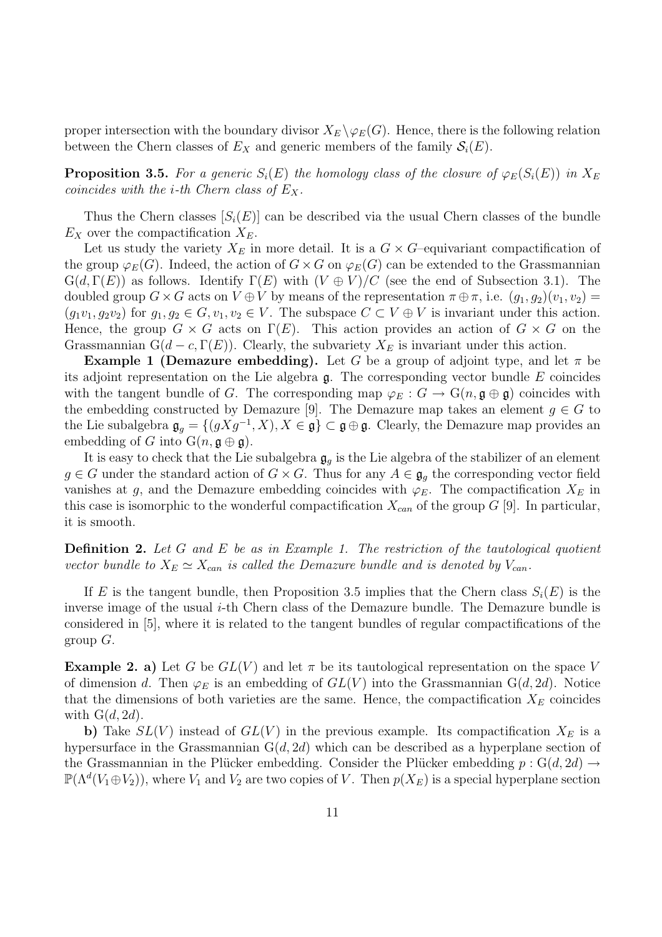proper intersection with the boundary divisor  $X_E \backslash \varphi_E(G)$ . Hence, there is the following relation between the Chern classes of  $E_X$  and generic members of the family  $\mathcal{S}_i(E)$ .

**Proposition 3.5.** For a generic  $S_i(E)$  the homology class of the closure of  $\varphi_E(S_i(E))$  in  $X_E$ coincides with the *i*-th Chern class of  $E_X$ .

Thus the Chern classes  $[S_i(E)]$  can be described via the usual Chern classes of the bundle  $E_X$  over the compactification  $X_E$ .

Let us study the variety  $X_E$  in more detail. It is a  $G \times G$ -equivariant compactification of the group  $\varphi_E(G)$ . Indeed, the action of  $G \times G$  on  $\varphi_E(G)$  can be extended to the Grassmannian  $G(d, \Gamma(E))$  as follows. Identify  $\Gamma(E)$  with  $(V \oplus V)/C$  (see the end of Subsection 3.1). The doubled group  $G \times G$  acts on  $V \oplus V$  by means of the representation  $\pi \oplus \pi$ , i.e.  $(g_1, g_2)(v_1, v_2)$  $(g_1v_1, g_2v_2)$  for  $g_1, g_2 \in G$ ,  $v_1, v_2 \in V$ . The subspace  $C \subset V \oplus V$  is invariant under this action. Hence, the group  $G \times G$  acts on  $\Gamma(E)$ . This action provides an action of  $G \times G$  on the Grassmannian  $G(d - c, \Gamma(E))$ . Clearly, the subvariety  $X_E$  is invariant under this action.

**Example 1 (Demazure embedding).** Let G be a group of adjoint type, and let  $\pi$  be its adjoint representation on the Lie algebra  $\mathfrak{g}$ . The corresponding vector bundle E coincides with the tangent bundle of G. The corresponding map  $\varphi_E : G \to \mathcal{G}(n, \mathfrak{g} \oplus \mathfrak{g})$  coincides with the embedding constructed by Demazure [9]. The Demazure map takes an element  $g \in G$  to the Lie subalgebra  $\mathfrak{g}_g = \{(gXg^{-1}, X), X \in \mathfrak{g}\} \subset \mathfrak{g} \oplus \mathfrak{g}$ . Clearly, the Demazure map provides an embedding of G into  $G(n, \mathfrak{g} \oplus \mathfrak{g})$ .

It is easy to check that the Lie subalgebra  $\mathfrak{g}_q$  is the Lie algebra of the stabilizer of an element  $g \in G$  under the standard action of  $G \times G$ . Thus for any  $A \in \mathfrak{g}_g$  the corresponding vector field vanishes at g, and the Demazure embedding coincides with  $\varphi_E$ . The compactification  $X_E$  in this case is isomorphic to the wonderful compactification  $X_{can}$  of the group G [9]. In particular, it is smooth.

**Definition 2.** Let G and E be as in Example 1. The restriction of the tautological quotient vector bundle to  $X_E \simeq X_{can}$  is called the Demazure bundle and is denoted by  $V_{can}$ .

If E is the tangent bundle, then Proposition 3.5 implies that the Chern class  $S_i(E)$  is the inverse image of the usual  $i$ -th Chern class of the Demazure bundle. The Demazure bundle is considered in [5], where it is related to the tangent bundles of regular compactifications of the group  $G$ .

**Example 2. a)** Let G be  $GL(V)$  and let  $\pi$  be its tautological representation on the space V of dimension d. Then  $\varphi_E$  is an embedding of  $GL(V)$  into the Grassmannian  $G(d, 2d)$ . Notice that the dimensions of both varieties are the same. Hence, the compactification  $X_E$  coincides with  $G(d, 2d)$ .

b) Take  $SL(V)$  instead of  $GL(V)$  in the previous example. Its compactification  $X_E$  is a hypersurface in the Grassmannian  $G(d, 2d)$  which can be described as a hyperplane section of the Grassmannian in the Plücker embedding. Consider the Plücker embedding  $p : G(d, 2d) \rightarrow$  $\mathbb{P}(\Lambda^d(V_1 \oplus V_2))$ , where  $V_1$  and  $V_2$  are two copies of V. Then  $p(X_E)$  is a special hyperplane section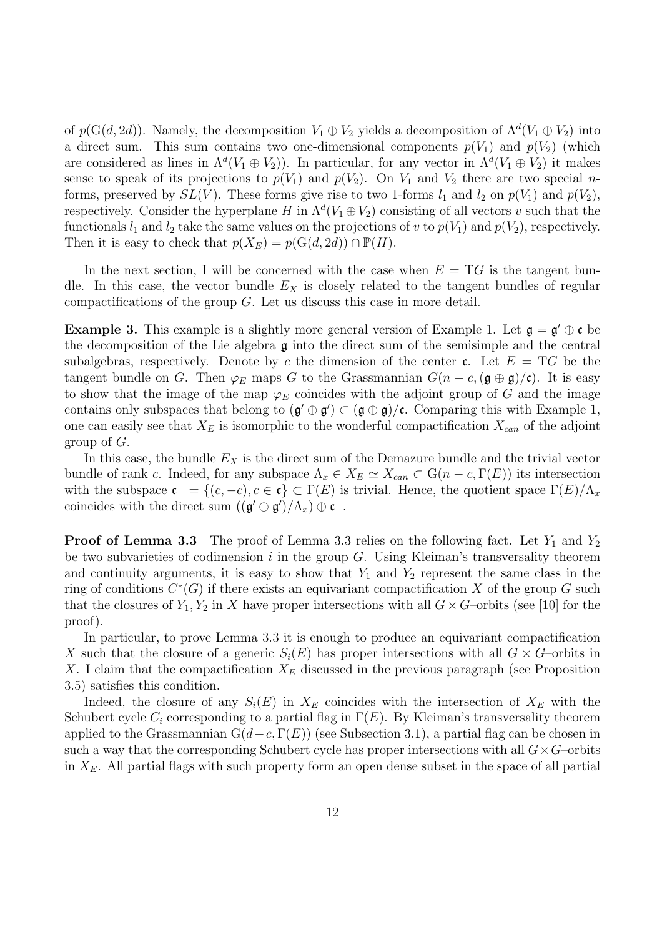of  $p(G(d, 2d))$ . Namely, the decomposition  $V_1 \oplus V_2$  yields a decomposition of  $\Lambda^d(V_1 \oplus V_2)$  into a direct sum. This sum contains two one-dimensional components  $p(V_1)$  and  $p(V_2)$  (which are considered as lines in  $\Lambda^d(V_1 \oplus V_2)$ ). In particular, for any vector in  $\Lambda^d(V_1 \oplus V_2)$  it makes sense to speak of its projections to  $p(V_1)$  and  $p(V_2)$ . On  $V_1$  and  $V_2$  there are two special *n*forms, preserved by  $SL(V)$ . These forms give rise to two 1-forms  $l_1$  and  $l_2$  on  $p(V_1)$  and  $p(V_2)$ , respectively. Consider the hyperplane H in  $\Lambda^d(V_1 \oplus V_2)$  consisting of all vectors v such that the functionals  $l_1$  and  $l_2$  take the same values on the projections of v to  $p(V_1)$  and  $p(V_2)$ , respectively. Then it is easy to check that  $p(X_E) = p(G(d, 2d)) \cap \mathbb{P}(H)$ .

In the next section, I will be concerned with the case when  $E = T<sub>G</sub>$  is the tangent bundle. In this case, the vector bundle  $E<sub>X</sub>$  is closely related to the tangent bundles of regular compactifications of the group  $G$ . Let us discuss this case in more detail.

**Example 3.** This example is a slightly more general version of Example 1. Let  $\mathfrak{g} = \mathfrak{g}' \oplus \mathfrak{c}$  be the decomposition of the Lie algebra  $\mathfrak g$  into the direct sum of the semisimple and the central subalgebras, respectively. Denote by c the dimension of the center c. Let  $E = T G$  be the tangent bundle on G. Then  $\varphi_E$  maps G to the Grassmannian  $G(n - c, (\mathfrak{g} \oplus \mathfrak{g})/\mathfrak{c})$ . It is easy to show that the image of the map  $\varphi_E$  coincides with the adjoint group of G and the image contains only subspaces that belong to  $(g' \oplus g') \subset (g \oplus g)/c$ . Comparing this with Example 1, one can easily see that  $X_E$  is isomorphic to the wonderful compactification  $X_{can}$  of the adjoint group of G.

In this case, the bundle  $E<sub>X</sub>$  is the direct sum of the Demazure bundle and the trivial vector bundle of rank c. Indeed, for any subspace  $\Lambda_x \in X_E \simeq X_{can} \subset G(n-c, \Gamma(E))$  its intersection with the subspace  $\mathfrak{c}^- = \{(c, -c), c \in \mathfrak{c}\} \subset \Gamma(E)$  is trivial. Hence, the quotient space  $\Gamma(E)/\Lambda_x$ coincides with the direct sum  $((\mathfrak{g}' \oplus \mathfrak{g}')/\Lambda_x) \oplus \mathfrak{c}^-$ .

**Proof of Lemma 3.3** The proof of Lemma 3.3 relies on the following fact. Let  $Y_1$  and  $Y_2$ be two subvarieties of codimension  $i$  in the group  $G$ . Using Kleiman's transversality theorem and continuity arguments, it is easy to show that  $Y_1$  and  $Y_2$  represent the same class in the ring of conditions  $C^*(G)$  if there exists an equivariant compactification X of the group G such that the closures of  $Y_1, Y_2$  in X have proper intersections with all  $G \times G$ -orbits (see [10] for the proof).

In particular, to prove Lemma 3.3 it is enough to produce an equivariant compactification X such that the closure of a generic  $S_i(E)$  has proper intersections with all  $G \times G$ –orbits in X. I claim that the compactification  $X_E$  discussed in the previous paragraph (see Proposition 3.5) satisfies this condition.

Indeed, the closure of any  $S_i(E)$  in  $X_E$  coincides with the intersection of  $X_E$  with the Schubert cycle  $C_i$  corresponding to a partial flag in  $\Gamma(E)$ . By Kleiman's transversality theorem applied to the Grassmannian  $G(d-c, \Gamma(E))$  (see Subsection 3.1), a partial flag can be chosen in such a way that the corresponding Schubert cycle has proper intersections with all  $G \times G$ -orbits in  $X_E$ . All partial flags with such property form an open dense subset in the space of all partial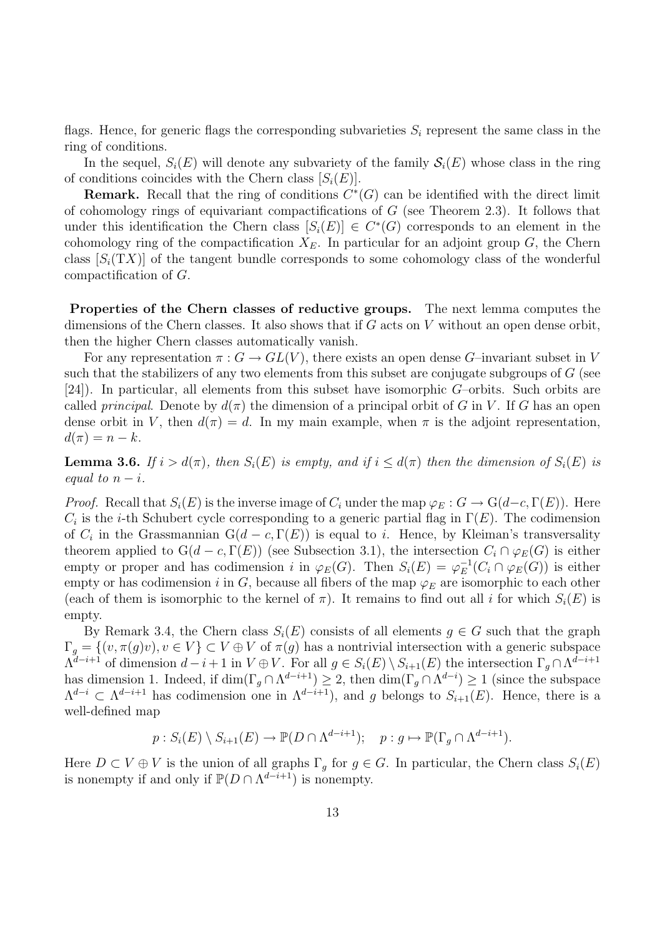flags. Hence, for generic flags the corresponding subvarieties  $S_i$  represent the same class in the ring of conditions.

In the sequel,  $S_i(E)$  will denote any subvariety of the family  $S_i(E)$  whose class in the ring of conditions coincides with the Chern class  $[S_i(E)].$ 

**Remark.** Recall that the ring of conditions  $C^*(G)$  can be identified with the direct limit of cohomology rings of equivariant compactifications of  $G$  (see Theorem 2.3). It follows that under this identification the Chern class  $[S_i(E)] \in C^*(G)$  corresponds to an element in the cohomology ring of the compactification  $X_E$ . In particular for an adjoint group G, the Chern class  $[S_i(TX)]$  of the tangent bundle corresponds to some cohomology class of the wonderful compactification of G.

Properties of the Chern classes of reductive groups. The next lemma computes the dimensions of the Chern classes. It also shows that if  $G$  acts on  $V$  without an open dense orbit, then the higher Chern classes automatically vanish.

For any representation  $\pi: G \to GL(V)$ , there exists an open dense G-invariant subset in V such that the stabilizers of any two elements from this subset are conjugate subgroups of  $G$  (see [24]). In particular, all elements from this subset have isomorphic G–orbits. Such orbits are called principal. Denote by  $d(\pi)$  the dimension of a principal orbit of G in V. If G has an open dense orbit in V, then  $d(\pi) = d$ . In my main example, when  $\pi$  is the adjoint representation,  $d(\pi) = n - k.$ 

**Lemma 3.6.** If  $i > d(\pi)$ , then  $S_i(E)$  is empty, and if  $i \leq d(\pi)$  then the dimension of  $S_i(E)$  is equal to  $n - i$ .

*Proof.* Recall that  $S_i(E)$  is the inverse image of  $C_i$  under the map  $\varphi_E : G \to \mathcal{G}(d-c, \Gamma(E))$ . Here  $C_i$  is the *i*-th Schubert cycle corresponding to a generic partial flag in  $\Gamma(E)$ . The codimension of  $C_i$  in the Grassmannian  $G(d - c, \Gamma(E))$  is equal to i. Hence, by Kleiman's transversality theorem applied to  $G(d - c, \Gamma(E))$  (see Subsection 3.1), the intersection  $C_i \cap \varphi_E(G)$  is either empty or proper and has codimension i in  $\varphi_E(G)$ . Then  $S_i(E) = \varphi_E^{-1}$  $_{E}^{-1}(C_i \cap \varphi_E(G))$  is either empty or has codimension i in G, because all fibers of the map  $\varphi_E$  are isomorphic to each other (each of them is isomorphic to the kernel of  $\pi$ ). It remains to find out all i for which  $S_i(E)$  is empty.

By Remark 3.4, the Chern class  $S_i(E)$  consists of all elements  $g \in G$  such that the graph  $\Gamma_g = \{(v, \pi(g)v), v \in V\} \subset V \oplus V$  of  $\pi(g)$  has a nontrivial intersection with a generic subspace  $\Lambda^{d-i+1}$  of dimension  $d-i+1$  in  $V \oplus V$ . For all  $g \in S_i(E) \setminus S_{i+1}(E)$  the intersection  $\Gamma_g \cap \Lambda^{d-i+1}$ has dimension 1. Indeed, if  $\dim(\Gamma_g \cap \Lambda^{d-i+1}) \geq 2$ , then  $\dim(\Gamma_g \cap \Lambda^{d-i}) \geq 1$  (since the subspace  $\Lambda^{d-i} \subset \Lambda^{d-i+1}$  has codimension one in  $\Lambda^{d-i+1}$ , and g belongs to  $S_{i+1}(E)$ . Hence, there is a well-defined map

$$
p: S_i(E) \setminus S_{i+1}(E) \to \mathbb{P}(D \cap \Lambda^{d-i+1}); \quad p: g \mapsto \mathbb{P}(\Gamma_g \cap \Lambda^{d-i+1}).
$$

Here  $D \subset V \oplus V$  is the union of all graphs  $\Gamma_g$  for  $g \in G$ . In particular, the Chern class  $S_i(E)$ is nonempty if and only if  $P(D \cap \Lambda^{d-i+1})$  is nonempty.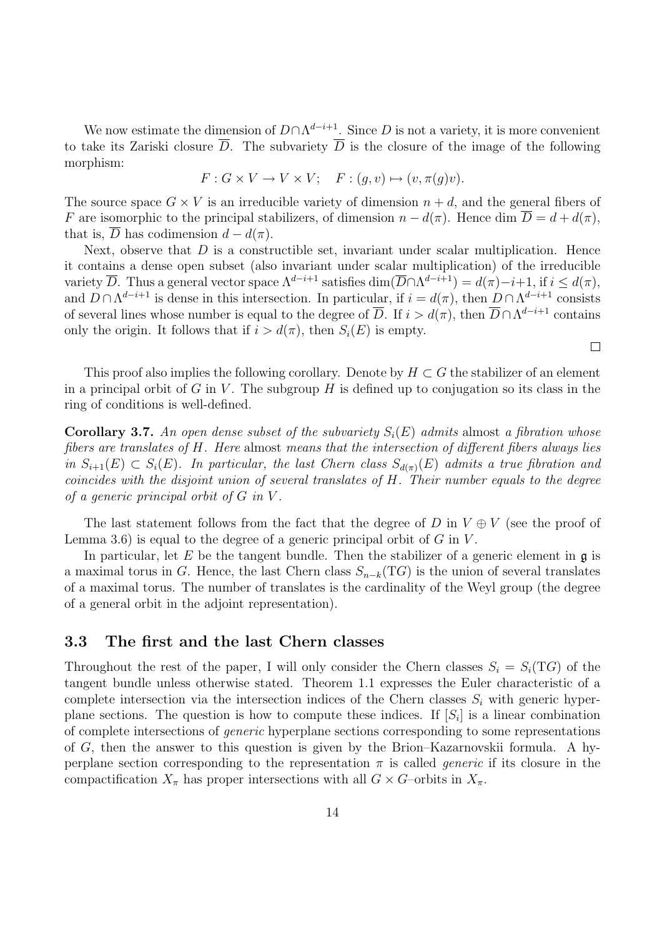We now estimate the dimension of  $D \cap \Lambda^{d-i+1}$ . Since D is not a variety, it is more convenient to take its Zariski closure  $\overline{D}$ . The subvariety  $\overline{D}$  is the closure of the image of the following morphism:

$$
F: G \times V \to V \times V; \quad F: (g, v) \mapsto (v, \pi(g)v).
$$

The source space  $G \times V$  is an irreducible variety of dimension  $n + d$ , and the general fibers of F are isomorphic to the principal stabilizers, of dimension  $n - d(\pi)$ . Hence dim  $\overline{D} = d + d(\pi)$ , that is,  $\overline{D}$  has codimension  $d - d(\pi)$ .

Next, observe that  $D$  is a constructible set, invariant under scalar multiplication. Hence it contains a dense open subset (also invariant under scalar multiplication) of the irreducible variety  $\overline{D}$ . Thus a general vector space  $\Lambda^{d-i+1}$  satisfies  $\dim(\overline{D}\cap \Lambda^{d-i+1})=d(\pi)-i+1$ , if  $i\leq d(\pi)$ , and  $D \cap \Lambda^{d-i+1}$  is dense in this intersection. In particular, if  $i = d(\pi)$ , then  $D \cap \Lambda^{d-i+1}$  consists of several lines whose number is equal to the degree of  $\overline{D}$ . If  $i > d(\pi)$ , then  $\overline{D} \cap \Lambda^{d-i+1}$  contains only the origin. It follows that if  $i > d(\pi)$ , then  $S_i(E)$  is empty.

This proof also implies the following corollary. Denote by  $H \subset G$  the stabilizer of an element in a principal orbit of G in V. The subgroup H is defined up to conjugation so its class in the ring of conditions is well-defined.

 $\Box$ 

**Corollary 3.7.** An open dense subset of the subvariety  $S_i(E)$  admits almost a fibration whose fibers are translates of H. Here almost means that the intersection of different fibers always lies in  $S_{i+1}(E) \subset S_i(E)$ . In particular, the last Chern class  $S_{d(\pi)}(E)$  admits a true fibration and coincides with the disjoint union of several translates of H. Their number equals to the degree of a generic principal orbit of  $G$  in  $V$ .

The last statement follows from the fact that the degree of D in  $V \oplus V$  (see the proof of Lemma 3.6) is equal to the degree of a generic principal orbit of  $G$  in  $V$ .

In particular, let E be the tangent bundle. Then the stabilizer of a generic element in  $\mathfrak{g}$  is a maximal torus in G. Hence, the last Chern class  $S_{n-k}(TG)$  is the union of several translates of a maximal torus. The number of translates is the cardinality of the Weyl group (the degree of a general orbit in the adjoint representation).

#### 3.3 The first and the last Chern classes

Throughout the rest of the paper, I will only consider the Chern classes  $S_i = S_i(TG)$  of the tangent bundle unless otherwise stated. Theorem 1.1 expresses the Euler characteristic of a complete intersection via the intersection indices of the Chern classes  $S_i$  with generic hyperplane sections. The question is how to compute these indices. If  $[S_i]$  is a linear combination of complete intersections of generic hyperplane sections corresponding to some representations of G, then the answer to this question is given by the Brion–Kazarnovskii formula. A hyperplane section corresponding to the representation  $\pi$  is called *generic* if its closure in the compactification  $X_\pi$  has proper intersections with all  $G \times G$ -orbits in  $X_\pi$ .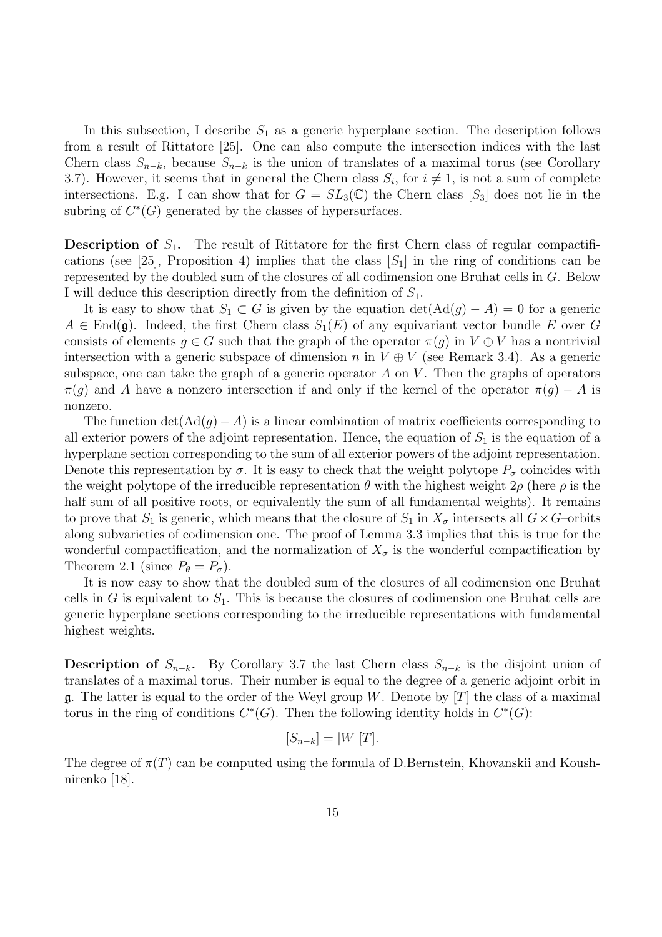In this subsection, I describe  $S_1$  as a generic hyperplane section. The description follows from a result of Rittatore [25]. One can also compute the intersection indices with the last Chern class  $S_{n-k}$ , because  $S_{n-k}$  is the union of translates of a maximal torus (see Corollary 3.7). However, it seems that in general the Chern class  $S_i$ , for  $i \neq 1$ , is not a sum of complete intersections. E.g. I can show that for  $G = SL_3(\mathbb{C})$  the Chern class  $[S_3]$  does not lie in the subring of  $C^*(G)$  generated by the classes of hypersurfaces.

**Description of**  $S_1$ . The result of Rittatore for the first Chern class of regular compactifications (see [25], Proposition 4) implies that the class  $[S_1]$  in the ring of conditions can be represented by the doubled sum of the closures of all codimension one Bruhat cells in G. Below I will deduce this description directly from the definition of  $S_1$ .

It is easy to show that  $S_1 \subset G$  is given by the equation  $\det(\text{Ad}(g) - A) = 0$  for a generic  $A \in End(\mathfrak{g})$ . Indeed, the first Chern class  $S_1(E)$  of any equivariant vector bundle E over G consists of elements  $q \in G$  such that the graph of the operator  $\pi(q)$  in  $V \oplus V$  has a nontrivial intersection with a generic subspace of dimension n in  $V \oplus V$  (see Remark 3.4). As a generic subspace, one can take the graph of a generic operator A on V. Then the graphs of operators  $\pi(g)$  and A have a nonzero intersection if and only if the kernel of the operator  $\pi(g) - A$  is nonzero.

The function  $\det(\text{Ad}(q) - A)$  is a linear combination of matrix coefficients corresponding to all exterior powers of the adjoint representation. Hence, the equation of  $S_1$  is the equation of a hyperplane section corresponding to the sum of all exterior powers of the adjoint representation. Denote this representation by  $\sigma$ . It is easy to check that the weight polytope  $P_{\sigma}$  coincides with the weight polytope of the irreducible representation  $\theta$  with the highest weight  $2\rho$  (here  $\rho$  is the half sum of all positive roots, or equivalently the sum of all fundamental weights). It remains to prove that  $S_1$  is generic, which means that the closure of  $S_1$  in  $X_{\sigma}$  intersects all  $G \times G$ -orbits along subvarieties of codimension one. The proof of Lemma 3.3 implies that this is true for the wonderful compactification, and the normalization of  $X_{\sigma}$  is the wonderful compactification by Theorem 2.1 (since  $P_{\theta} = P_{\sigma}$ ).

It is now easy to show that the doubled sum of the closures of all codimension one Bruhat cells in G is equivalent to  $S_1$ . This is because the closures of codimension one Bruhat cells are generic hyperplane sections corresponding to the irreducible representations with fundamental highest weights.

**Description of**  $S_{n-k}$ . By Corollary 3.7 the last Chern class  $S_{n-k}$  is the disjoint union of translates of a maximal torus. Their number is equal to the degree of a generic adjoint orbit in **g**. The latter is equal to the order of the Weyl group W. Denote by [T] the class of a maximal torus in the ring of conditions  $C^*(G)$ . Then the following identity holds in  $C^*(G)$ :

$$
[S_{n-k}] = |W|[T].
$$

The degree of  $\pi(T)$  can be computed using the formula of D.Bernstein, Khovanskii and Koushnirenko [18].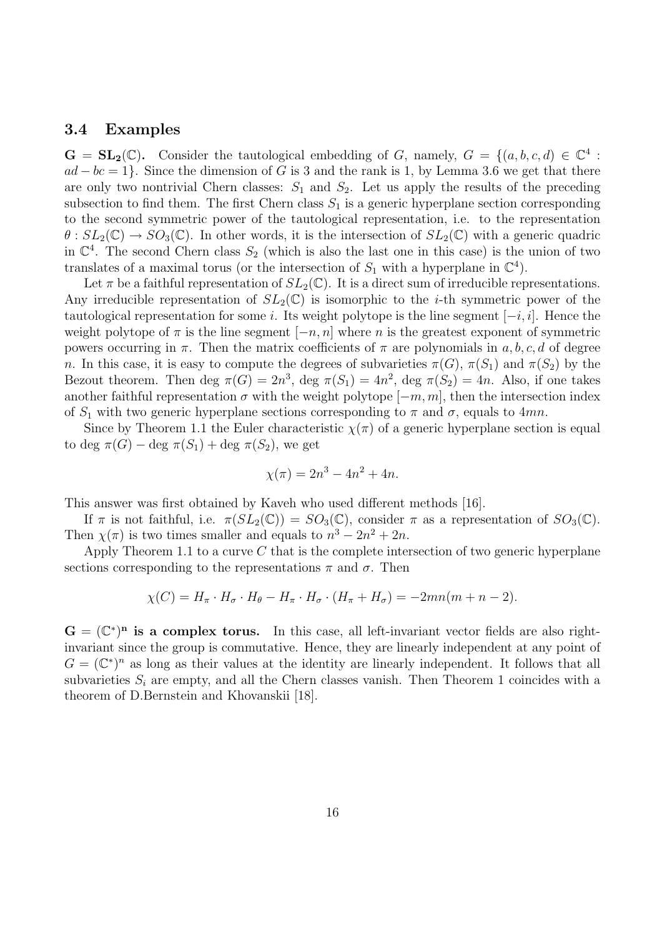#### 3.4 Examples

 $\mathbf{G} = \mathbf{SL}_2(\mathbb{C})$ . Consider the tautological embedding of G, namely,  $G = \{(a, b, c, d) \in \mathbb{C}^4 :$  $ad - bc = 1$ . Since the dimension of G is 3 and the rank is 1, by Lemma 3.6 we get that there are only two nontrivial Chern classes:  $S_1$  and  $S_2$ . Let us apply the results of the preceding subsection to find them. The first Chern class  $S_1$  is a generic hyperplane section corresponding to the second symmetric power of the tautological representation, i.e. to the representation  $\theta$ :  $SL_2(\mathbb{C}) \to SO_3(\mathbb{C})$ . In other words, it is the intersection of  $SL_2(\mathbb{C})$  with a generic quadric in  $\mathbb{C}^4$ . The second Chern class  $S_2$  (which is also the last one in this case) is the union of two translates of a maximal torus (or the intersection of  $S_1$  with a hyperplane in  $\mathbb{C}^4$ ).

Let  $\pi$  be a faithful representation of  $SL_2(\mathbb{C})$ . It is a direct sum of irreducible representations. Any irreducible representation of  $SL_2(\mathbb{C})$  is isomorphic to the *i*-th symmetric power of the tautological representation for some i. Its weight polytope is the line segment  $[-i, i]$ . Hence the weight polytope of  $\pi$  is the line segment  $[-n, n]$  where n is the greatest exponent of symmetric powers occurring in  $\pi$ . Then the matrix coefficients of  $\pi$  are polynomials in a, b, c, d of degree n. In this case, it is easy to compute the degrees of subvarieties  $\pi(G)$ ,  $\pi(S_1)$  and  $\pi(S_2)$  by the Bezout theorem. Then deg  $\pi(G) = 2n^3$ , deg  $\pi(S_1) = 4n^2$ , deg  $\pi(S_2) = 4n$ . Also, if one takes another faithful representation  $\sigma$  with the weight polytope  $[-m, m]$ , then the intersection index of  $S_1$  with two generic hyperplane sections corresponding to  $\pi$  and  $\sigma$ , equals to 4mn.

Since by Theorem 1.1 the Euler characteristic  $\chi(\pi)$  of a generic hyperplane section is equal to deg  $\pi(G)$  – deg  $\pi(S_1)$  + deg  $\pi(S_2)$ , we get

$$
\chi(\pi) = 2n^3 - 4n^2 + 4n.
$$

This answer was first obtained by Kaveh who used different methods [16].

If  $\pi$  is not faithful, i.e.  $\pi(SL_2(\mathbb{C})) = SO_3(\mathbb{C})$ , consider  $\pi$  as a representation of  $SO_3(\mathbb{C})$ . Then  $\chi(\pi)$  is two times smaller and equals to  $n^3 - 2n^2 + 2n$ .

Apply Theorem 1.1 to a curve  $C$  that is the complete intersection of two generic hyperplane sections corresponding to the representations  $\pi$  and  $\sigma$ . Then

$$
\chi(C) = H_{\pi} \cdot H_{\sigma} \cdot H_{\theta} - H_{\pi} \cdot H_{\sigma} \cdot (H_{\pi} + H_{\sigma}) = -2mn(m + n - 2).
$$

 $G = (\mathbb{C}^*)^n$  is a complex torus. In this case, all left-invariant vector fields are also rightinvariant since the group is commutative. Hence, they are linearly independent at any point of  $G = (\mathbb{C}^*)^n$  as long as their values at the identity are linearly independent. It follows that all subvarieties  $S_i$  are empty, and all the Chern classes vanish. Then Theorem 1 coincides with a theorem of D.Bernstein and Khovanskii [18].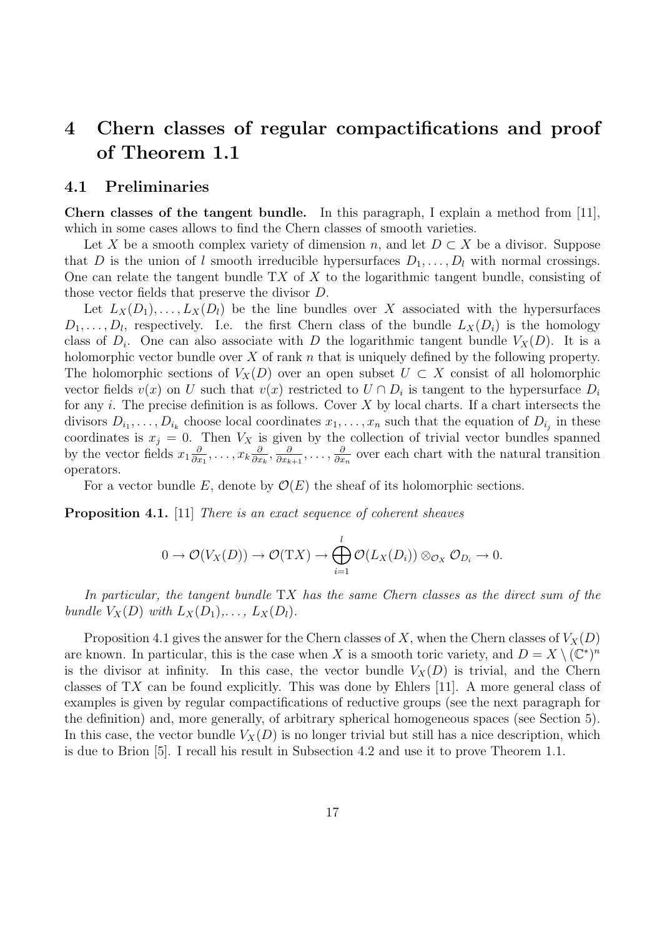## 4 Chern classes of regular compactifications and proof of Theorem 1.1

#### 4.1 Preliminaries

Chern classes of the tangent bundle. In this paragraph, I explain a method from [11], which in some cases allows to find the Chern classes of smooth varieties.

Let X be a smooth complex variety of dimension n, and let  $D \subset X$  be a divisor. Suppose that D is the union of l smooth irreducible hypersurfaces  $D_1, \ldots, D_l$  with normal crossings. One can relate the tangent bundle  $TX$  of X to the logarithmic tangent bundle, consisting of those vector fields that preserve the divisor D.

Let  $L_X(D_1), \ldots, L_X(D_l)$  be the line bundles over X associated with the hypersurfaces  $D_1, \ldots, D_l$ , respectively. I.e. the first Chern class of the bundle  $L_X(D_i)$  is the homology class of  $D_i$ . One can also associate with D the logarithmic tangent bundle  $V_X(D)$ . It is a holomorphic vector bundle over  $X$  of rank  $n$  that is uniquely defined by the following property. The holomorphic sections of  $V_X(D)$  over an open subset  $U \subset X$  consist of all holomorphic vector fields  $v(x)$  on U such that  $v(x)$  restricted to  $U \cap D_i$  is tangent to the hypersurface  $D_i$ for any i. The precise definition is as follows. Cover  $X$  by local charts. If a chart intersects the divisors  $D_{i_1}, \ldots, D_{i_k}$  choose local coordinates  $x_1, \ldots, x_n$  such that the equation of  $D_{i_j}$  in these coordinates is  $x_j = 0$ . Then  $V_X$  is given by the collection of trivial vector bundles spanned by the vector fields  $x_1 \frac{\partial}{\partial x}$  $\frac{\partial}{\partial x_1},\ldots,x_k\frac{\partial}{\partial x_k}$  $\frac{\partial}{\partial x_k}, \frac{\partial}{\partial x_k}$  $\frac{\partial}{\partial x_{k+1}},\ldots,\frac{\partial}{\partial x}$  $\frac{\partial}{\partial x_n}$  over each chart with the natural transition operators.

For a vector bundle E, denote by  $\mathcal{O}(E)$  the sheaf of its holomorphic sections.

**Proposition 4.1.** [11] There is an exact sequence of coherent sheaves

$$
0 \to \mathcal{O}(V_X(D)) \to \mathcal{O}(TX) \to \bigoplus_{i=1}^l \mathcal{O}(L_X(D_i)) \otimes_{\mathcal{O}_X} \mathcal{O}_{D_i} \to 0.
$$

In particular, the tangent bundle TX has the same Chern classes as the direct sum of the bundle  $V_X(D)$  with  $L_X(D_1), \ldots, L_X(D_l)$ .

Proposition 4.1 gives the answer for the Chern classes of X, when the Chern classes of  $V_X(D)$ are known. In particular, this is the case when X is a smooth toric variety, and  $D = X \setminus (\mathbb{C}^*)^n$ is the divisor at infinity. In this case, the vector bundle  $V_X(D)$  is trivial, and the Chern classes of TX can be found explicitly. This was done by Ehlers [11]. A more general class of examples is given by regular compactifications of reductive groups (see the next paragraph for the definition) and, more generally, of arbitrary spherical homogeneous spaces (see Section 5). In this case, the vector bundle  $V_X(D)$  is no longer trivial but still has a nice description, which is due to Brion [5]. I recall his result in Subsection 4.2 and use it to prove Theorem 1.1.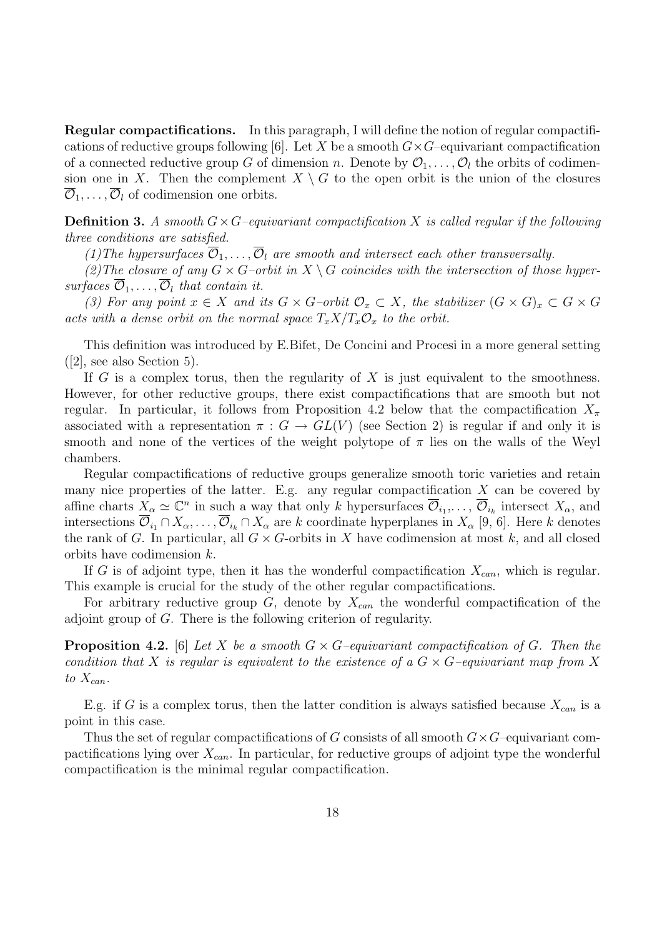Regular compactifications. In this paragraph, I will define the notion of regular compactifications of reductive groups following [6]. Let X be a smooth  $G \times G$ –equivariant compactification of a connected reductive group G of dimension n. Denote by  $\mathcal{O}_1, \ldots, \mathcal{O}_l$  the orbits of codimension one in X. Then the complement  $X \setminus G$  to the open orbit is the union of the closures  $\overline{\mathcal{O}}_1, \ldots, \overline{\mathcal{O}}_l$  of codimension one orbits.

**Definition 3.** A smooth  $G \times G$ –equivariant compactification X is called regular if the following three conditions are satisfied.

(1) The hypersurfaces  $\overline{\mathcal{O}}_1,\ldots,\overline{\mathcal{O}}_l$  are smooth and intersect each other transversally.

(2) The closure of any  $G \times G$ -orbit in  $X \setminus G$  coincides with the intersection of those hypersurfaces  $\overline{\mathcal{O}}_1, \ldots, \overline{\mathcal{O}}_l$  that contain it.

(3) For any point  $x \in X$  and its  $G \times G$ –orbit  $\mathcal{O}_x \subset X$ , the stabilizer  $(G \times G)_x \subset G \times G$ acts with a dense orbit on the normal space  $T_x X/T_x \mathcal{O}_x$  to the orbit.

This definition was introduced by E.Bifet, De Concini and Procesi in a more general setting ([2], see also Section 5).

If G is a complex torus, then the regularity of X is just equivalent to the smoothness. However, for other reductive groups, there exist compactifications that are smooth but not regular. In particular, it follows from Proposition 4.2 below that the compactification  $X_\pi$ associated with a representation  $\pi : G \to GL(V)$  (see Section 2) is regular if and only it is smooth and none of the vertices of the weight polytope of  $\pi$  lies on the walls of the Weyl chambers.

Regular compactifications of reductive groups generalize smooth toric varieties and retain many nice properties of the latter. E.g. any regular compactification  $X$  can be covered by affine charts  $X_{\alpha} \simeq \mathbb{C}^n$  in such a way that only k hypersurfaces  $\overline{\mathcal{O}}_{i_1}, \ldots, \overline{\mathcal{O}}_{i_k}$  intersect  $X_{\alpha}$ , and intersections  $\overline{\mathcal{O}}_{i_1} \cap X_\alpha, \ldots, \overline{\mathcal{O}}_{i_k} \cap X_\alpha$  are k coordinate hyperplanes in  $X_\alpha$  [9, 6]. Here k denotes the rank of G. In particular, all  $G \times G$ -orbits in X have codimension at most k, and all closed orbits have codimension k.

If G is of adjoint type, then it has the wonderful compactification  $X_{can}$ , which is regular. This example is crucial for the study of the other regular compactifications.

For arbitrary reductive group  $G$ , denote by  $X_{can}$  the wonderful compactification of the adjoint group of G. There is the following criterion of regularity.

**Proposition 4.2.** [6] Let X be a smooth  $G \times G$ -equivariant compactification of G. Then the condition that X is regular is equivalent to the existence of a  $G \times G$ -equivariant map from X to  $X_{can}$ .

E.g. if G is a complex torus, then the latter condition is always satisfied because  $X_{can}$  is a point in this case.

Thus the set of regular compactifications of G consists of all smooth  $G \times G$ –equivariant compactifications lying over  $X_{can}$ . In particular, for reductive groups of adjoint type the wonderful compactification is the minimal regular compactification.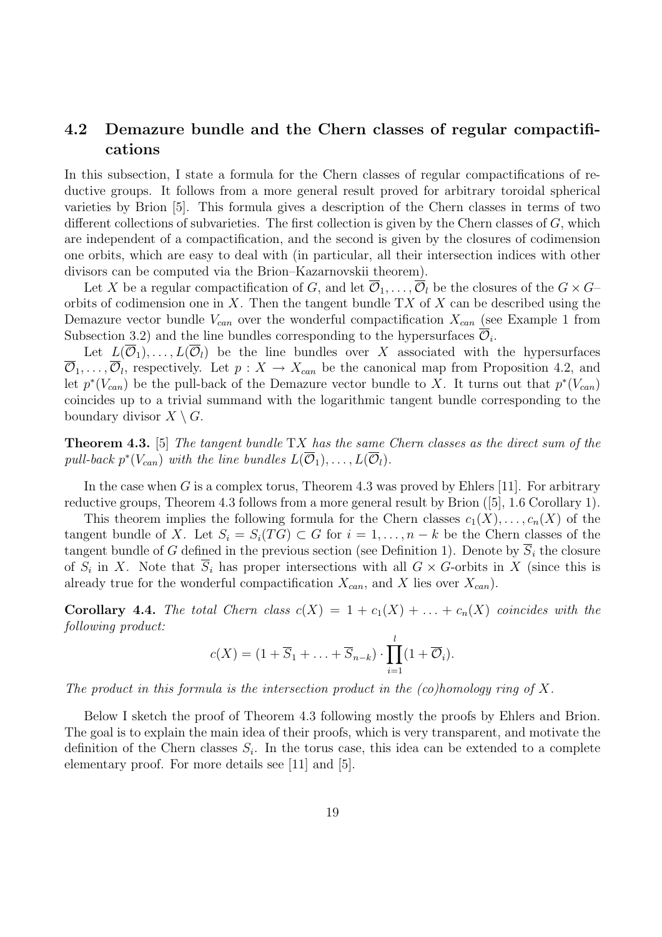### 4.2 Demazure bundle and the Chern classes of regular compactifications

In this subsection, I state a formula for the Chern classes of regular compactifications of reductive groups. It follows from a more general result proved for arbitrary toroidal spherical varieties by Brion [5]. This formula gives a description of the Chern classes in terms of two different collections of subvarieties. The first collection is given by the Chern classes of G, which are independent of a compactification, and the second is given by the closures of codimension one orbits, which are easy to deal with (in particular, all their intersection indices with other divisors can be computed via the Brion–Kazarnovskii theorem).

Let X be a regular compactification of G, and let  $\overline{\mathcal{O}}_1, \ldots, \overline{\mathcal{O}}_l$  be the closures of the  $G \times G$ orbits of codimension one in X. Then the tangent bundle  $TX$  of X can be described using the Demazure vector bundle  $V_{can}$  over the wonderful compactification  $X_{can}$  (see Example 1 from Subsection 3.2) and the line bundles corresponding to the hypersurfaces  $\overline{\mathcal{O}}_i$ .

Let  $L(\overline{\mathcal{O}}_1), \ldots, L(\overline{\mathcal{O}}_l)$  be the line bundles over X associated with the hypersurfaces  $\overline{\mathcal{O}}_1,\ldots,\overline{\mathcal{O}}_l$ , respectively. Let  $p: X \to X_{can}$  be the canonical map from Proposition 4.2, and let  $p^*(V_{can})$  be the pull-back of the Demazure vector bundle to X. It turns out that  $p^*(V_{can})$ coincides up to a trivial summand with the logarithmic tangent bundle corresponding to the boundary divisor  $X \setminus G$ .

**Theorem 4.3.** [5] The tangent bundle  $TX$  has the same Chern classes as the direct sum of the pull-back  $p^*(V_{can})$  with the line bundles  $L(\overline{\mathcal{O}}_1), \ldots, L(\overline{\mathcal{O}}_l)$ .

In the case when G is a complex torus, Theorem 4.3 was proved by Ehlers [11]. For arbitrary reductive groups, Theorem 4.3 follows from a more general result by Brion ([5], 1.6 Corollary 1).

This theorem implies the following formula for the Chern classes  $c_1(X), \ldots, c_n(X)$  of the tangent bundle of X. Let  $S_i = S_i(TG) \subset G$  for  $i = 1, ..., n - k$  be the Chern classes of the tangent bundle of G defined in the previous section (see Definition 1). Denote by  $S_i$  the closure of  $S_i$  in X. Note that  $\overline{S}_i$  has proper intersections with all  $G \times G$ -orbits in X (since this is already true for the wonderful compactification  $X_{can}$ , and X lies over  $X_{can}$ ).

**Corollary 4.4.** The total Chern class  $c(X) = 1 + c_1(X) + \ldots + c_n(X)$  coincides with the following product:

$$
c(X) = (1 + \overline{S}_1 + \ldots + \overline{S}_{n-k}) \cdot \prod_{i=1}^{l} (1 + \overline{O}_i).
$$

The product in this formula is the intersection product in the  $(c_{\mathcal{O}})$ homology ring of X.

Below I sketch the proof of Theorem 4.3 following mostly the proofs by Ehlers and Brion. The goal is to explain the main idea of their proofs, which is very transparent, and motivate the definition of the Chern classes  $S_i$ . In the torus case, this idea can be extended to a complete elementary proof. For more details see [11] and [5].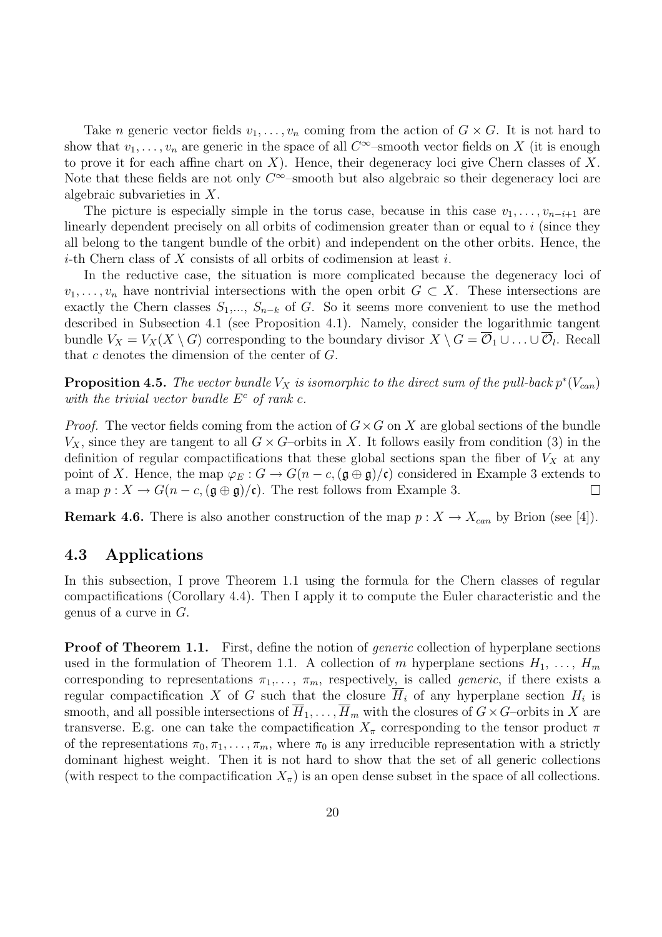Take *n* generic vector fields  $v_1, \ldots, v_n$  coming from the action of  $G \times G$ . It is not hard to show that  $v_1, \ldots, v_n$  are generic in the space of all  $C^{\infty}$ -smooth vector fields on X (it is enough to prove it for each affine chart on  $X$ ). Hence, their degeneracy loci give Chern classes of  $X$ . Note that these fields are not only  $C^{\infty}$ -smooth but also algebraic so their degeneracy loci are algebraic subvarieties in X.

The picture is especially simple in the torus case, because in this case  $v_1, \ldots, v_{n-i+1}$  are linearly dependent precisely on all orbits of codimension greater than or equal to  $i$  (since they all belong to the tangent bundle of the orbit) and independent on the other orbits. Hence, the *i*-th Chern class of X consists of all orbits of codimension at least *i*.

In the reductive case, the situation is more complicated because the degeneracy loci of  $v_1, \ldots, v_n$  have nontrivial intersections with the open orbit  $G \subset X$ . These intersections are exactly the Chern classes  $S_1, ..., S_{n-k}$  of G. So it seems more convenient to use the method described in Subsection 4.1 (see Proposition 4.1). Namely, consider the logarithmic tangent bundle  $V_X = V_X(X \setminus G)$  corresponding to the boundary divisor  $X \setminus G = \overline{\mathcal{O}}_1 \cup \ldots \cup \overline{\mathcal{O}}_l$ . Recall that c denotes the dimension of the center of G.

**Proposition 4.5.** The vector bundle  $V_X$  is isomorphic to the direct sum of the pull-back  $p^*(V_{can})$ with the trivial vector bundle  $E^c$  of rank c.

*Proof.* The vector fields coming from the action of  $G \times G$  on X are global sections of the bundle  $V_X$ , since they are tangent to all  $G \times G$ -orbits in X. It follows easily from condition (3) in the definition of regular compactifications that these global sections span the fiber of  $V_X$  at any point of X. Hence, the map  $\varphi_E : G \to G(n-c,(\mathfrak{g} \oplus \mathfrak{g})/\mathfrak{c})$  considered in Example 3 extends to a map  $p: X \to G(n-c, (\mathfrak{g} \oplus \mathfrak{g})/\mathfrak{c})$ . The rest follows from Example 3.  $\Box$ 

**Remark 4.6.** There is also another construction of the map  $p : X \to X_{can}$  by Brion (see [4]).

#### 4.3 Applications

In this subsection, I prove Theorem 1.1 using the formula for the Chern classes of regular compactifications (Corollary 4.4). Then I apply it to compute the Euler characteristic and the genus of a curve in  $G$ .

**Proof of Theorem 1.1.** First, define the notion of *generic* collection of hyperplane sections used in the formulation of Theorem 1.1. A collection of m hyperplane sections  $H_1, \ldots, H_m$ corresponding to representations  $\pi_1, \ldots, \pi_m$ , respectively, is called *generic*, if there exists a regular compactification X of G such that the closure  $\overline{H}_i$  of any hyperplane section  $H_i$  is smooth, and all possible intersections of  $\overline{H}_1, \ldots, \overline{H}_m$  with the closures of  $G \times G$ –orbits in X are transverse. E.g. one can take the compactification  $X_\pi$  corresponding to the tensor product  $\pi$ of the representations  $\pi_0, \pi_1, \ldots, \pi_m$ , where  $\pi_0$  is any irreducible representation with a strictly dominant highest weight. Then it is not hard to show that the set of all generic collections (with respect to the compactification  $X_{\pi}$ ) is an open dense subset in the space of all collections.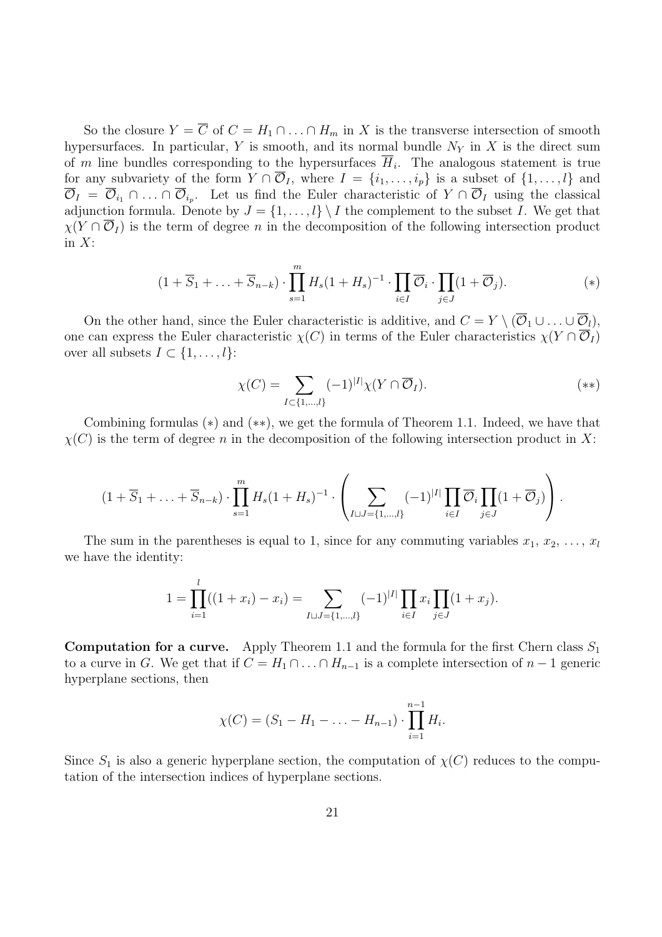So the closure  $Y = \overline{C}$  of  $C = H_1 \cap ... \cap H_m$  in X is the transverse intersection of smooth hypersurfaces. In particular, Y is smooth, and its normal bundle  $N<sub>Y</sub>$  in X is the direct sum of m line bundles corresponding to the hypersurfaces  $\overline{H}_i$ . The analogous statement is true for any subvariety of the form  $Y \cap \overline{O}_I$ , where  $I = \{i_1, \ldots, i_p\}$  is a subset of  $\{1, \ldots, l\}$  and  $\overline{\mathcal{O}}_I = \overline{\mathcal{O}}_{i_1} \cap \ldots \cap \overline{\mathcal{O}}_{i_p}$ . Let us find the Euler characteristic of  $Y \cap \overline{\mathcal{O}}_I$  using the classical adjunction formula. Denote by  $J = \{1, \ldots, l\} \setminus I$  the complement to the subset I. We get that  $\chi(Y \cap \mathcal{O}_I)$  is the term of degree n in the decomposition of the following intersection product in  $X$ :

$$
(1 + \overline{S}_1 + \ldots + \overline{S}_{n-k}) \cdot \prod_{s=1}^{m} H_s (1 + H_s)^{-1} \cdot \prod_{i \in I} \overline{\mathcal{O}}_i \cdot \prod_{j \in J} (1 + \overline{\mathcal{O}}_j).
$$
 (\*)

On the other hand, since the Euler characteristic is additive, and  $C = Y \setminus (\overline{O}_1 \cup ... \cup \overline{O}_l)$ , one can express the Euler characteristic  $\chi(C)$  in terms of the Euler characteristics  $\chi(Y \cap \overline{O}_I)$ over all subsets  $I \subset \{1, \ldots, l\}$ :

$$
\chi(C) = \sum_{I \subset \{1,\dots,l\}} (-1)^{|I|} \chi(Y \cap \overline{\mathcal{O}}_I). \tag{**}
$$

Combining formulas (∗) and (∗∗), we get the formula of Theorem 1.1. Indeed, we have that  $\chi(C)$  is the term of degree n in the decomposition of the following intersection product in X:

$$
(1+\overline{S}_1+\ldots+\overline{S}_{n-k})\cdot \prod_{s=1}^m H_s(1+H_s)^{-1}\cdot \left(\sum_{I\sqcup J=\{1,\ldots,l\}} (-1)^{|I|} \prod_{i\in I} \overline{\mathcal{O}}_i \prod_{j\in J} (1+\overline{\mathcal{O}}_j)\right).
$$

The sum in the parentheses is equal to 1, since for any commuting variables  $x_1, x_2, \ldots, x_l$ we have the identity:

$$
1 = \prod_{i=1}^{l} ((1 + x_i) - x_i) = \sum_{I \sqcup J = \{1, \dots, l\}} (-1)^{|I|} \prod_{i \in I} x_i \prod_{j \in J} (1 + x_j).
$$

**Computation for a curve.** Apply Theorem 1.1 and the formula for the first Chern class  $S_1$ to a curve in G. We get that if  $C = H_1 \cap ... \cap H_{n-1}$  is a complete intersection of  $n-1$  generic hyperplane sections, then

$$
\chi(C) = (S_1 - H_1 - \ldots - H_{n-1}) \cdot \prod_{i=1}^{n-1} H_i.
$$

Since  $S_1$  is also a generic hyperplane section, the computation of  $\chi(C)$  reduces to the computation of the intersection indices of hyperplane sections.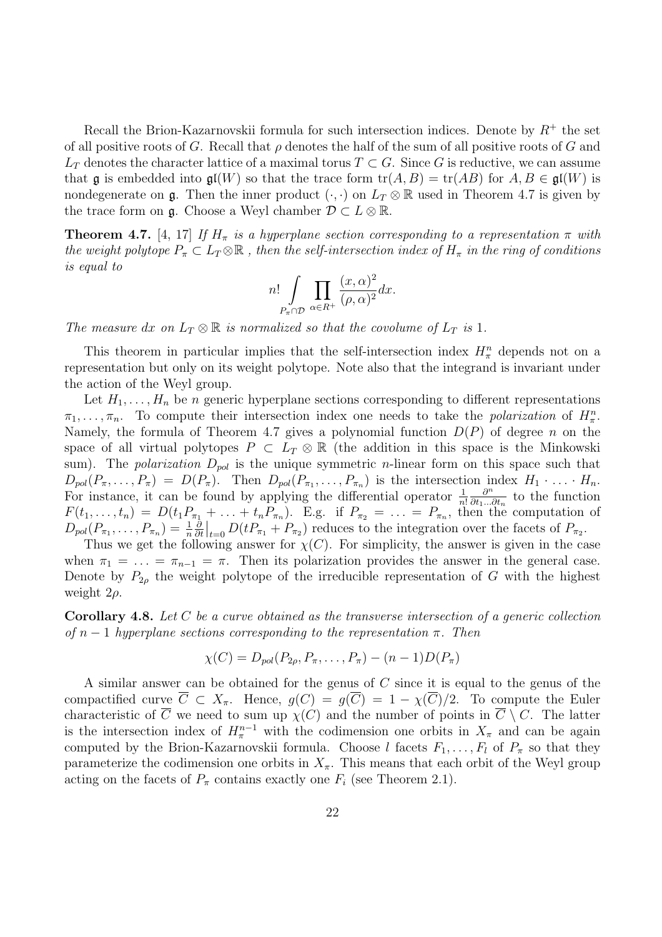Recall the Brion-Kazarnovskii formula for such intersection indices. Denote by  $R^+$  the set of all positive roots of G. Recall that  $\rho$  denotes the half of the sum of all positive roots of G and  $L_T$  denotes the character lattice of a maximal torus  $T \subset G$ . Since G is reductive, we can assume that g is embedded into  $\mathfrak{gl}(W)$  so that the trace form  $\text{tr}(A, B) = \text{tr}(AB)$  for  $A, B \in \mathfrak{gl}(W)$  is nondegenerate on g. Then the inner product  $(\cdot, \cdot)$  on  $L_T \otimes \mathbb{R}$  used in Theorem 4.7 is given by the trace form on **g**. Choose a Weyl chamber  $\mathcal{D} \subset L \otimes \mathbb{R}$ .

**Theorem 4.7.** [4, 17] If  $H_{\pi}$  is a hyperplane section corresponding to a representation  $\pi$  with the weight polytope  $P_{\pi} \subset L_T \otimes \mathbb{R}$ , then the self-intersection index of  $H_{\pi}$  in the ring of conditions is equal to

$$
n! \int\limits_{P_{\pi} \cap \mathcal{D}} \prod_{\alpha \in R^+} \frac{(x, \alpha)^2}{(\rho, \alpha)^2} dx.
$$

The measure dx on  $L_T \otimes \mathbb{R}$  is normalized so that the covolume of  $L_T$  is 1.

This theorem in particular implies that the self-intersection index  $H_{\pi}^{n}$  depends not on a representation but only on its weight polytope. Note also that the integrand is invariant under the action of the Weyl group.

Let  $H_1, \ldots, H_n$  be n generic hyperplane sections corresponding to different representations  $\pi_1, \ldots, \pi_n$ . To compute their intersection index one needs to take the *polarization* of  $H^n_{\pi}$ . Namely, the formula of Theorem 4.7 gives a polynomial function  $D(P)$  of degree n on the space of all virtual polytopes  $P \subset L_T \otimes \mathbb{R}$  (the addition in this space is the Minkowski sum). The *polarization*  $D_{pol}$  is the unique symmetric *n*-linear form on this space such that  $D_{pol}(P_{\pi},\ldots,P_{\pi}) = D(P_{\pi}).$  Then  $D_{pol}(P_{\pi_1},\ldots,P_{\pi_n})$  is the intersection index  $H_1 \cdot \ldots \cdot H_n$ . For instance, it can be found by applying the differential operator  $\frac{1}{n!}$  $\partial^n$  $\frac{\partial^n}{\partial t_1...\partial t_n}$  to the function  $F(t_1,\ldots,t_n) = D(t_1P_{\pi_1} + \ldots + t_nP_{\pi_n}).$  E.g. if  $P_{\pi_2} = \ldots = P_{\pi_n}$ , then the computation of  $D_{pol}(P_{\pi_1},\ldots,P_{\pi_n})=\frac{1}{n}$ **∂** ∂t + ... +  $t_n P_{\pi_n}$ ). E.g. if  $P_{\pi_2} = ... = P_{\pi_n}$ , then the computation  $\Big|_{t=0} D(t P_{\pi_1} + P_{\pi_2})$  reduces to the integration over the facets of  $P_{\pi_2}$ .

Thus we get the following answer for  $\chi(C)$ . For simplicity, the answer is given in the case when  $\pi_1 = \ldots = \pi_{n-1} = \pi$ . Then its polarization provides the answer in the general case. Denote by  $P_{2\rho}$  the weight polytope of the irreducible representation of G with the highest weight  $2\rho$ .

**Corollary 4.8.** Let  $C$  be a curve obtained as the transverse intersection of a generic collection of  $n-1$  hyperplane sections corresponding to the representation  $\pi$ . Then

$$
\chi(C) = D_{pol}(P_{2\rho}, P_{\pi}, \dots, P_{\pi}) - (n-1)D(P_{\pi})
$$

A similar answer can be obtained for the genus of C since it is equal to the genus of the compactified curve  $\overline{C} \subset X_{\pi}$ . Hence,  $g(C) = g(\overline{C}) = 1 - \chi(\overline{C})/2$ . To compute the Euler characteristic of  $\overline{C}$  we need to sum up  $\chi(C)$  and the number of points in  $\overline{C} \setminus C$ . The latter is the intersection index of  $H_{\pi}^{n-1}$  with the codimension one orbits in  $X_{\pi}$  and can be again computed by the Brion-Kazarnovskii formula. Choose l facets  $F_1, \ldots, F_l$  of  $P_\pi$  so that they parameterize the codimension one orbits in  $X_{\pi}$ . This means that each orbit of the Weyl group acting on the facets of  $P_\pi$  contains exactly one  $F_i$  (see Theorem 2.1).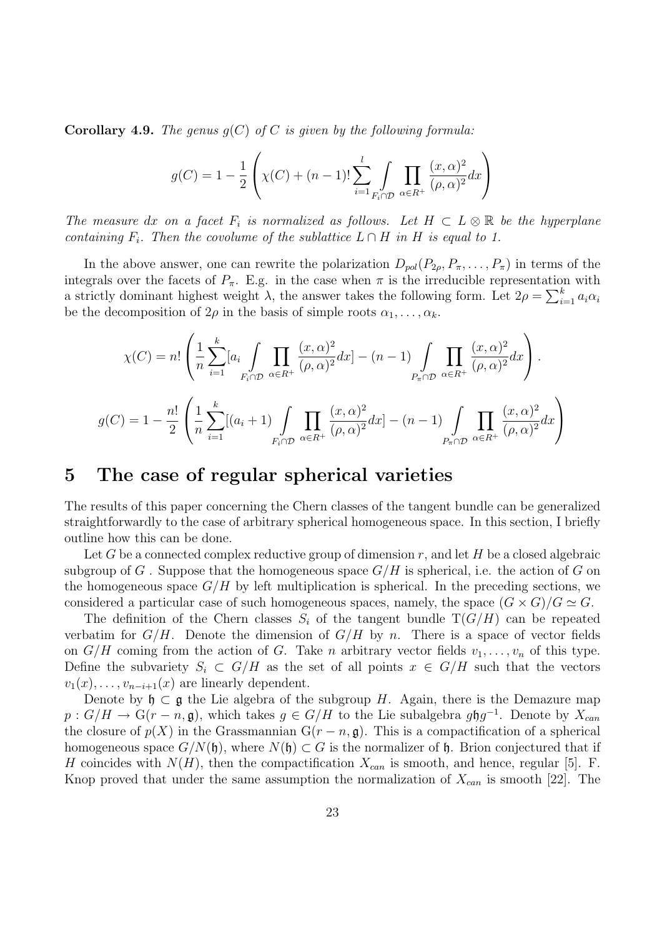**Corollary 4.9.** The genus  $q(C)$  of C is given by the following formula:

$$
g(C) = 1 - \frac{1}{2} \left( \chi(C) + (n-1)! \sum_{i=1}^{l} \int_{F_i \cap \mathcal{D}} \prod_{\alpha \in R^+} \frac{(x, \alpha)^2}{(\rho, \alpha)^2} dx \right)
$$

The measure dx on a facet  $F_i$  is normalized as follows. Let  $H \subset L \otimes \mathbb{R}$  be the hyperplane containing  $F_i$ . Then the covolume of the sublattice  $L \cap H$  in H is equal to 1.

In the above answer, one can rewrite the polarization  $D_{pol}(P_{2\rho}, P_{\pi}, \ldots, P_{\pi})$  in terms of the integrals over the facets of  $P_{\pi}$ . E.g. in the case when  $\pi$  is the irreducible representation with integrals over the facets of  $F_{\pi}$ . E.g. in the case when  $\pi$  is the frieducible representation<br>a strictly dominant highest weight  $\lambda$ , the answer takes the following form. Let  $2\rho = \sum_{i=1}^{k}$  $\sum_{i=1}^k a_i \alpha_i$ be the decomposition of  $2\rho$  in the basis of simple roots  $\alpha_1, \ldots, \alpha_k$ .

$$
\chi(C) = n! \left( \frac{1}{n} \sum_{i=1}^{k} [a_i \int_{F_i \cap \mathcal{D}} \prod_{\alpha \in R^+} \frac{(x, \alpha)^2}{(\rho, \alpha)^2} dx \right) - (n-1) \int_{P_{\pi} \cap \mathcal{D}} \prod_{\alpha \in R^+} \frac{(x, \alpha)^2}{(\rho, \alpha)^2} dx \right).
$$
  

$$
g(C) = 1 - \frac{n!}{2} \left( \frac{1}{n} \sum_{i=1}^{k} [(a_i + 1) \int_{F_i \cap \mathcal{D}} \prod_{\alpha \in R^+} \frac{(x, \alpha)^2}{(\rho, \alpha)^2} dx \right) - (n-1) \int_{P_{\pi} \cap \mathcal{D}} \prod_{\alpha \in R^+} \frac{(x, \alpha)^2}{(\rho, \alpha)^2} dx \right)
$$

## 5 The case of regular spherical varieties

The results of this paper concerning the Chern classes of the tangent bundle can be generalized straightforwardly to the case of arbitrary spherical homogeneous space. In this section, I briefly outline how this can be done.

Let G be a connected complex reductive group of dimension  $r$ , and let H be a closed algebraic subgroup of G. Suppose that the homogeneous space  $G/H$  is spherical, i.e. the action of G on the homogeneous space  $G/H$  by left multiplication is spherical. In the preceding sections, we considered a particular case of such homogeneous spaces, namely, the space  $(G \times G)/G \simeq G$ .

The definition of the Chern classes  $S_i$  of the tangent bundle  $T(G/H)$  can be repeated verbatim for  $G/H$ . Denote the dimension of  $G/H$  by n. There is a space of vector fields on  $G/H$  coming from the action of G. Take n arbitrary vector fields  $v_1, \ldots, v_n$  of this type. Define the subvariety  $S_i \subset G/H$  as the set of all points  $x \in G/H$  such that the vectors  $v_1(x), \ldots, v_{n-i+1}(x)$  are linearly dependent.

Denote by  $\mathfrak{h} \subset \mathfrak{g}$  the Lie algebra of the subgroup H. Again, there is the Demazure map  $p: G/H \to G(r-n, \mathfrak{g})$ , which takes  $g \in G/H$  to the Lie subalgebra  $g\mathfrak{h}g^{-1}$ . Denote by  $X_{can}$ the closure of  $p(X)$  in the Grassmannian  $G(r - n, \mathfrak{g})$ . This is a compactification of a spherical homogeneous space  $G/N(\mathfrak{h})$ , where  $N(\mathfrak{h}) \subset G$  is the normalizer of  $\mathfrak{h}$ . Brion conjectured that if H coincides with  $N(H)$ , then the compactification  $X_{can}$  is smooth, and hence, regular [5]. F. Knop proved that under the same assumption the normalization of  $X_{can}$  is smooth [22]. The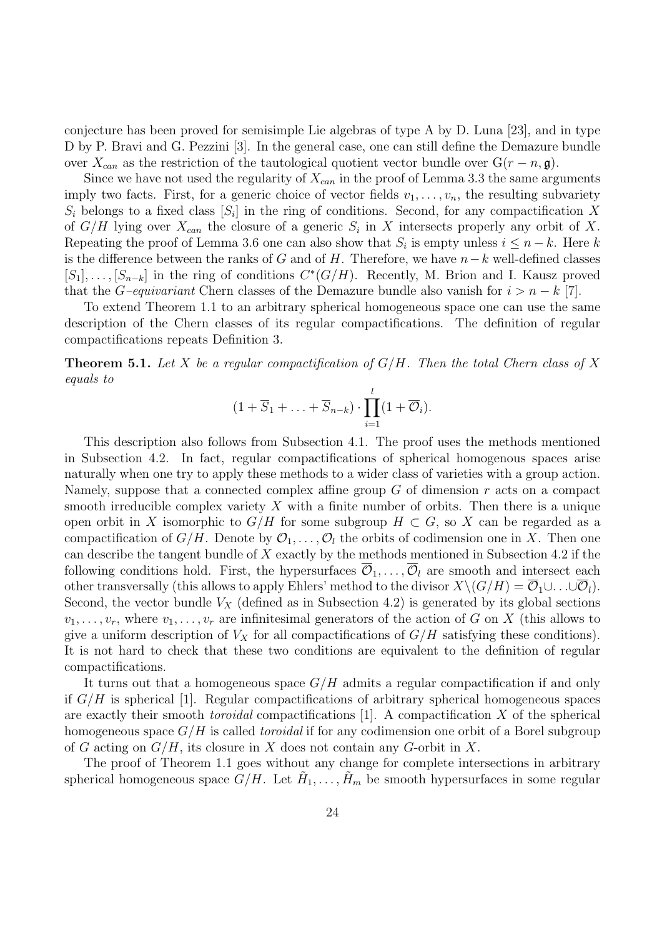conjecture has been proved for semisimple Lie algebras of type A by D. Luna [23], and in type D by P. Bravi and G. Pezzini [3]. In the general case, one can still define the Demazure bundle over  $X_{can}$  as the restriction of the tautological quotient vector bundle over  $G(r - n, \mathfrak{g})$ .

Since we have not used the regularity of  $X_{can}$  in the proof of Lemma 3.3 the same arguments imply two facts. First, for a generic choice of vector fields  $v_1, \ldots, v_n$ , the resulting subvariety  $S_i$  belongs to a fixed class  $[S_i]$  in the ring of conditions. Second, for any compactification X of  $G/H$  lying over  $X_{can}$  the closure of a generic  $S_i$  in X intersects properly any orbit of X. Repeating the proof of Lemma 3.6 one can also show that  $S_i$  is empty unless  $i \leq n - k$ . Here k is the difference between the ranks of G and of H. Therefore, we have  $n-k$  well-defined classes  $[S_1], \ldots, [S_{n-k}]$  in the ring of conditions  $C^*(G/H)$ . Recently, M. Brion and I. Kausz proved that the G–equivariant Chern classes of the Demazure bundle also vanish for  $i > n - k$  [7].

To extend Theorem 1.1 to an arbitrary spherical homogeneous space one can use the same description of the Chern classes of its regular compactifications. The definition of regular compactifications repeats Definition 3.

**Theorem 5.1.** Let X be a regular compactification of  $G/H$ . Then the total Chern class of X equals to

$$
(1 + \overline{S}_1 + \ldots + \overline{S}_{n-k}) \cdot \prod_{i=1}^{l} (1 + \overline{O}_i).
$$

This description also follows from Subsection 4.1. The proof uses the methods mentioned in Subsection 4.2. In fact, regular compactifications of spherical homogenous spaces arise naturally when one try to apply these methods to a wider class of varieties with a group action. Namely, suppose that a connected complex affine group  $G$  of dimension  $r$  acts on a compact smooth irreducible complex variety  $X$  with a finite number of orbits. Then there is a unique open orbit in X isomorphic to  $G/H$  for some subgroup  $H\subset G$ , so X can be regarded as a compactification of  $G/H$ . Denote by  $\mathcal{O}_1, \ldots, \mathcal{O}_l$  the orbits of codimension one in X. Then one can describe the tangent bundle of  $X$  exactly by the methods mentioned in Subsection 4.2 if the following conditions hold. First, the hypersurfaces  $\overline{\mathcal{O}}_1, \ldots, \overline{\mathcal{O}}_l$  are smooth and intersect each other transversally (this allows to apply Ehlers' method to the divisor  $X\setminus (G/H) = \overline{\mathcal{O}}_1 \cup \ldots \cup \overline{\mathcal{O}}_l$ ). Second, the vector bundle  $V_X$  (defined as in Subsection 4.2) is generated by its global sections  $v_1, \ldots, v_r$ , where  $v_1, \ldots, v_r$  are infinitesimal generators of the action of G on X (this allows to give a uniform description of  $V_X$  for all compactifications of  $G/H$  satisfying these conditions). It is not hard to check that these two conditions are equivalent to the definition of regular compactifications.

It turns out that a homogeneous space  $G/H$  admits a regular compactification if and only if  $G/H$  is spherical [1]. Regular compactifications of arbitrary spherical homogeneous spaces are exactly their smooth *toroidal* compactifications [1]. A compactification  $X$  of the spherical homogeneous space  $G/H$  is called *toroidal* if for any codimension one orbit of a Borel subgroup of G acting on  $G/H$ , its closure in X does not contain any G-orbit in X.

The proof of Theorem 1.1 goes without any change for complete intersections in arbitrary spherical homogeneous space  $G/H$ . Let  $H_1, \ldots, H_m$  be smooth hypersurfaces in some regular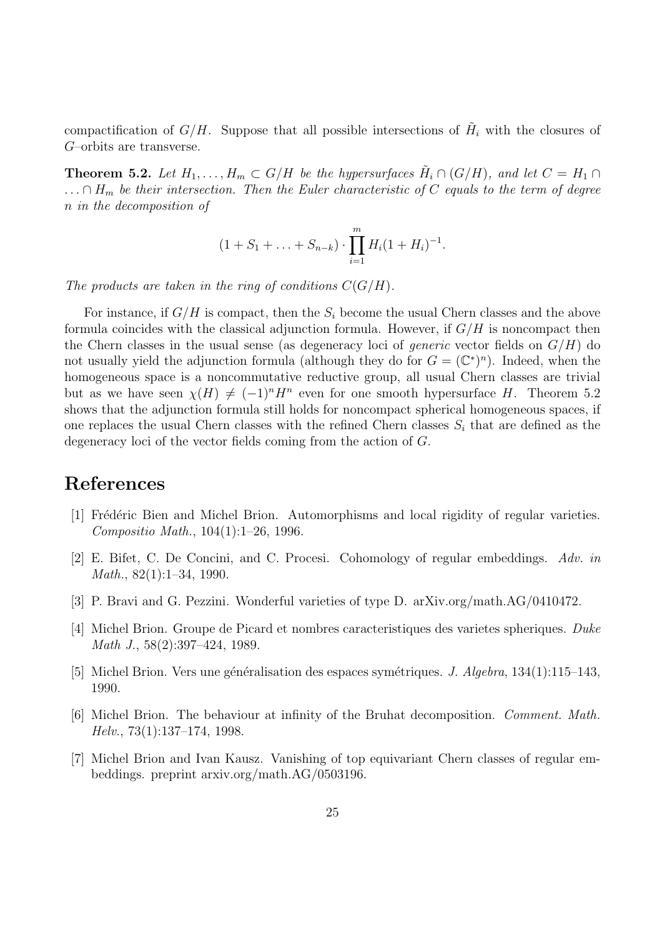compactification of  $G/H$ . Suppose that all possible intersections of  $H_i$  with the closures of G–orbits are transverse.

**Theorem 5.2.** Let  $H_1, \ldots, H_m \subset G/H$  be the hypersurfaces  $\tilde{H}_i \cap (G/H)$ , and let  $C = H_1 \cap$  $\ldots \cap H_m$  be their intersection. Then the Euler characteristic of C equals to the term of degree n in the decomposition of

$$
(1+S_1+\ldots+S_{n-k})\cdot \prod_{i=1}^m H_i(1+H_i)^{-1}.
$$

The products are taken in the ring of conditions  $C(G/H)$ .

For instance, if  $G/H$  is compact, then the  $S_i$  become the usual Chern classes and the above formula coincides with the classical adjunction formula. However, if  $G/H$  is noncompact then the Chern classes in the usual sense (as degeneracy loci of *generic* vector fields on  $G/H$ ) do not usually yield the adjunction formula (although they do for  $G = (\mathbb{C}^*)^n$ ). Indeed, when the homogeneous space is a noncommutative reductive group, all usual Chern classes are trivial but as we have seen  $\chi(H) \neq (-1)^n H^n$  even for one smooth hypersurface H. Theorem 5.2 shows that the adjunction formula still holds for noncompact spherical homogeneous spaces, if one replaces the usual Chern classes with the refined Chern classes  $S_i$  that are defined as the degeneracy loci of the vector fields coming from the action of G.

## References

- [1] Frédéric Bien and Michel Brion. Automorphisms and local rigidity of regular varieties. Compositio Math., 104(1):1–26, 1996.
- [2] E. Bifet, C. De Concini, and C. Procesi. Cohomology of regular embeddings. Adv. in Math., 82(1):1–34, 1990.
- [3] P. Bravi and G. Pezzini. Wonderful varieties of type D. arXiv.org/math.AG/0410472.
- [4] Michel Brion. Groupe de Picard et nombres caracteristiques des varietes spheriques. Duke Math J., 58(2):397–424, 1989.
- [5] Michel Brion. Vers une généralisation des espaces symétriques. *J. Algebra*,  $134(1):115-143$ , 1990.
- [6] Michel Brion. The behaviour at infinity of the Bruhat decomposition. Comment. Math. Helv., 73(1):137–174, 1998.
- [7] Michel Brion and Ivan Kausz. Vanishing of top equivariant Chern classes of regular embeddings. preprint arxiv.org/math.AG/0503196.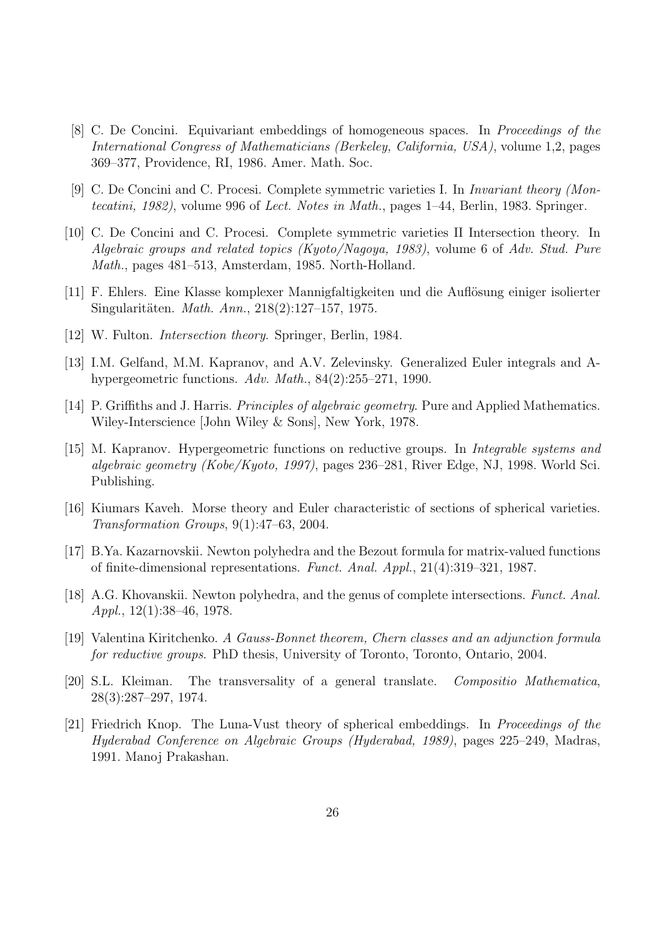- [8] C. De Concini. Equivariant embeddings of homogeneous spaces. In Proceedings of the International Congress of Mathematicians (Berkeley, California, USA), volume 1,2, pages 369–377, Providence, RI, 1986. Amer. Math. Soc.
- [9] C. De Concini and C. Procesi. Complete symmetric varieties I. In Invariant theory (Montecatini, 1982), volume 996 of Lect. Notes in Math., pages 1–44, Berlin, 1983. Springer.
- [10] C. De Concini and C. Procesi. Complete symmetric varieties II Intersection theory. In Algebraic groups and related topics (Kyoto/Nagoya, 1983), volume 6 of Adv. Stud. Pure Math., pages 481–513, Amsterdam, 1985. North-Holland.
- [11] F. Ehlers. Eine Klasse komplexer Mannigfaltigkeiten und die Aufl¨osung einiger isolierter Singularitäten. *Math. Ann.*, 218(2):127–157, 1975.
- [12] W. Fulton. *Intersection theory*. Springer, Berlin, 1984.
- [13] I.M. Gelfand, M.M. Kapranov, and A.V. Zelevinsky. Generalized Euler integrals and Ahypergeometric functions. Adv. Math., 84(2):255–271, 1990.
- [14] P. Griffiths and J. Harris. Principles of algebraic geometry. Pure and Applied Mathematics. Wiley-Interscience [John Wiley & Sons], New York, 1978.
- [15] M. Kapranov. Hypergeometric functions on reductive groups. In Integrable systems and algebraic geometry (Kobe/Kyoto, 1997), pages 236–281, River Edge, NJ, 1998. World Sci. Publishing.
- [16] Kiumars Kaveh. Morse theory and Euler characteristic of sections of spherical varieties. Transformation Groups, 9(1):47–63, 2004.
- [17] B.Ya. Kazarnovskii. Newton polyhedra and the Bezout formula for matrix-valued functions of finite-dimensional representations. Funct. Anal. Appl., 21(4):319–321, 1987.
- [18] A.G. Khovanskii. Newton polyhedra, and the genus of complete intersections. Funct. Anal. Appl.,  $12(1):38-46$ , 1978.
- [19] Valentina Kiritchenko. A Gauss-Bonnet theorem, Chern classes and an adjunction formula for reductive groups. PhD thesis, University of Toronto, Toronto, Ontario, 2004.
- [20] S.L. Kleiman. The transversality of a general translate. Compositio Mathematica, 28(3):287–297, 1974.
- [21] Friedrich Knop. The Luna-Vust theory of spherical embeddings. In Proceedings of the Hyderabad Conference on Algebraic Groups (Hyderabad, 1989), pages 225–249, Madras, 1991. Manoj Prakashan.